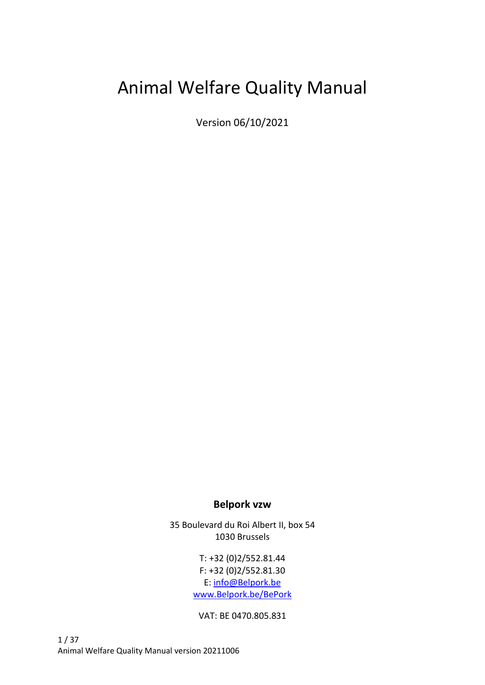# Animal Welfare Quality Manual

Version 06/10/2021

#### **Belpork vzw**

35 Boulevard du Roi Albert II, box 54 1030 Brussels

> T: +32 (0)2/552.81.44 F: +32 (0)2/552.81.30 E: [info@Belpork.be](mailto:info@Belpork.be) [www.Belpork.be/BePork](http://www.belpork.be/BePork)

VAT: BE 0470.805.831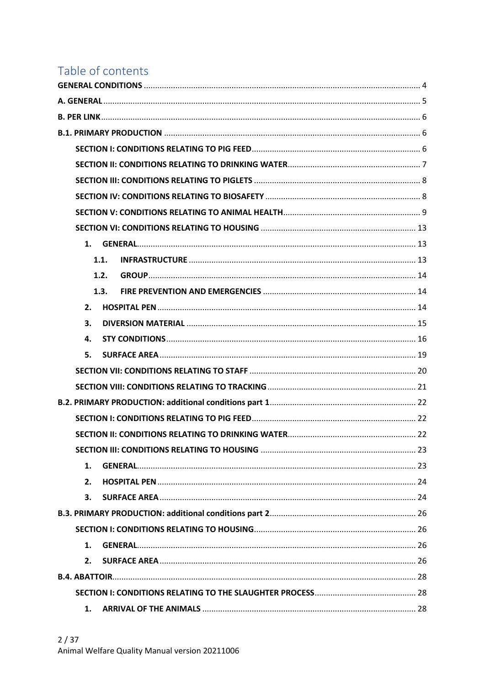## Table of contents

| 1.   |
|------|
| 1.1. |
| 1.2. |
| 1.3. |
| 2.   |
| 3.   |
| 4.   |
| 5.   |
|      |
|      |
|      |
|      |
|      |
|      |
| 1.   |
| 2.   |
| 3.   |
|      |
|      |
| 1.   |
| 2.   |
|      |
|      |
| 1.   |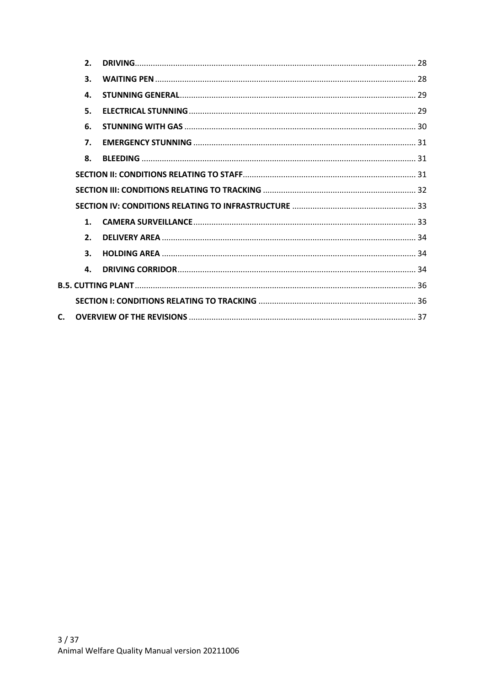|              | 2. |  |
|--------------|----|--|
|              | 3. |  |
|              | 4. |  |
|              | 5. |  |
|              | 6. |  |
|              | 7. |  |
|              | 8. |  |
|              |    |  |
|              |    |  |
|              |    |  |
|              | 1. |  |
|              | 2. |  |
|              | 3. |  |
|              | 4. |  |
|              |    |  |
|              |    |  |
| $\mathsf{C}$ |    |  |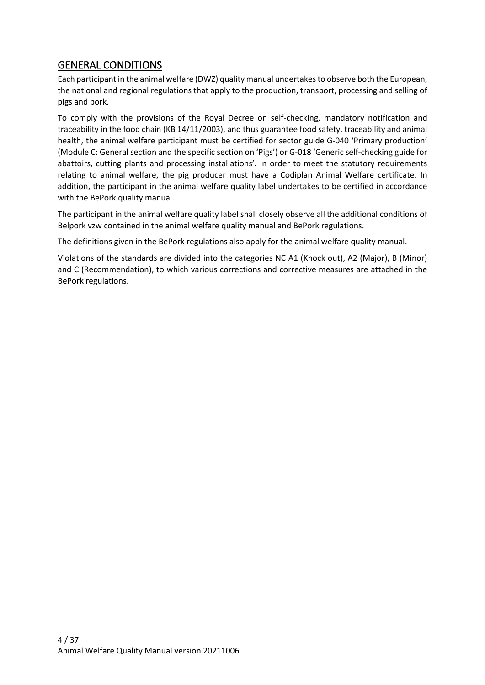#### <span id="page-3-0"></span>GENERAL CONDITIONS

Each participant in the animal welfare (DWZ) quality manual undertakes to observe both the European, the national and regional regulations that apply to the production, transport, processing and selling of pigs and pork.

To comply with the provisions of the Royal Decree on self-checking, mandatory notification and traceability in the food chain (KB 14/11/2003), and thus guarantee food safety, traceability and animal health, the animal welfare participant must be certified for sector guide G-040 'Primary production' (Module C: General section and the specific section on 'Pigs') or G-018 'Generic self-checking guide for abattoirs, cutting plants and processing installations'. In order to meet the statutory requirements relating to animal welfare, the pig producer must have a Codiplan Animal Welfare certificate. In addition, the participant in the animal welfare quality label undertakes to be certified in accordance with the BePork quality manual.

The participant in the animal welfare quality label shall closely observe all the additional conditions of Belpork vzw contained in the animal welfare quality manual and BePork regulations.

The definitions given in the BePork regulations also apply for the animal welfare quality manual.

Violations of the standards are divided into the categories NC A1 (Knock out), A2 (Major), B (Minor) and C (Recommendation), to which various corrections and corrective measures are attached in the BePork regulations.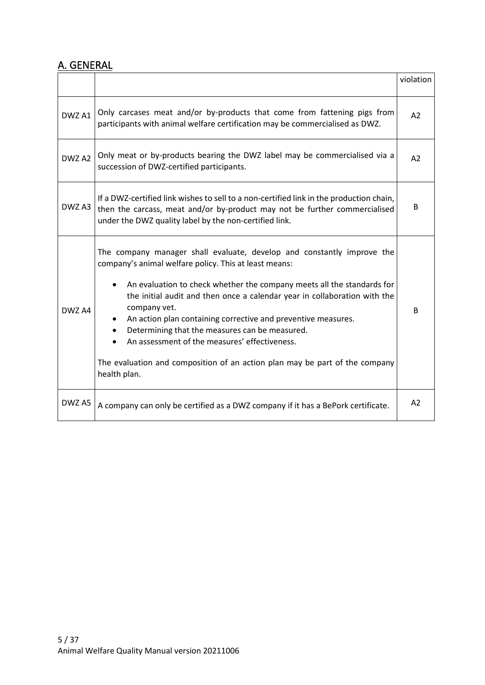#### <span id="page-4-0"></span>A. GENERAL

|        |                                                                                                                                                                                                                                                                                                                                                                                                                                                                                                                                                                           | violation |
|--------|---------------------------------------------------------------------------------------------------------------------------------------------------------------------------------------------------------------------------------------------------------------------------------------------------------------------------------------------------------------------------------------------------------------------------------------------------------------------------------------------------------------------------------------------------------------------------|-----------|
| DWZ A1 | Only carcases meat and/or by-products that come from fattening pigs from<br>participants with animal welfare certification may be commercialised as DWZ.                                                                                                                                                                                                                                                                                                                                                                                                                  | A2        |
| DWZ A2 | Only meat or by-products bearing the DWZ label may be commercialised via a<br>succession of DWZ-certified participants.                                                                                                                                                                                                                                                                                                                                                                                                                                                   | A2        |
| DWZ A3 | If a DWZ-certified link wishes to sell to a non-certified link in the production chain,<br>then the carcass, meat and/or by-product may not be further commercialised<br>under the DWZ quality label by the non-certified link.                                                                                                                                                                                                                                                                                                                                           | B         |
| DWZ A4 | The company manager shall evaluate, develop and constantly improve the<br>company's animal welfare policy. This at least means:<br>An evaluation to check whether the company meets all the standards for<br>the initial audit and then once a calendar year in collaboration with the<br>company vet.<br>An action plan containing corrective and preventive measures.<br>Determining that the measures can be measured.<br>An assessment of the measures' effectiveness.<br>The evaluation and composition of an action plan may be part of the company<br>health plan. | B         |
| DWZ A5 | A company can only be certified as a DWZ company if it has a BePork certificate.                                                                                                                                                                                                                                                                                                                                                                                                                                                                                          | A2        |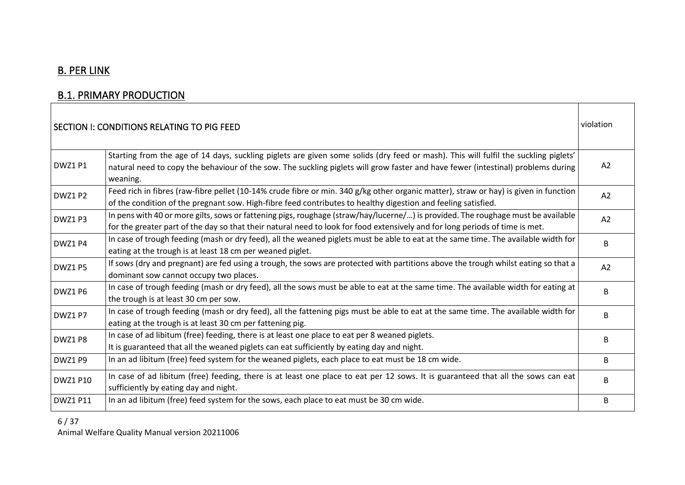## B. PER LINK

### **B.1. PRIMARY PRODUCTION**

<span id="page-5-0"></span>

|                 | SECTION I: CONDITIONS RELATING TO PIG FEED                                                                                                                                                                                                                                          | violation |
|-----------------|-------------------------------------------------------------------------------------------------------------------------------------------------------------------------------------------------------------------------------------------------------------------------------------|-----------|
| DWZ1 P1         | Starting from the age of 14 days, suckling piglets are given some solids (dry feed or mash). This will fulfil the suckling piglets'<br>natural need to copy the behaviour of the sow. The suckling piglets will grow faster and have fewer (intestinal) problems during<br>weaning. | A2        |
| DWZ1 P2         | Feed rich in fibres (raw-fibre pellet (10-14% crude fibre or min. 340 g/kg other organic matter), straw or hay) is given in function<br>of the condition of the pregnant sow. High-fibre feed contributes to healthy digestion and feeling satisfied.                               | A2        |
| DWZ1 P3         | In pens with 40 or more gilts, sows or fattening pigs, roughage (straw/hay/lucerne/) is provided. The roughage must be available<br>for the greater part of the day so that their natural need to look for food extensively and for long periods of time is met.                    | A2        |
| DWZ1 P4         | In case of trough feeding (mash or dry feed), all the weaned piglets must be able to eat at the same time. The available width for<br>eating at the trough is at least 18 cm per weaned piglet.                                                                                     | B         |
| DWZ1 P5         | If sows (dry and pregnant) are fed using a trough, the sows are protected with partitions above the trough whilst eating so that a<br>dominant sow cannot occupy two places.                                                                                                        | A2        |
| DWZ1 P6         | In case of trough feeding (mash or dry feed), all the sows must be able to eat at the same time. The available width for eating at<br>the trough is at least 30 cm per sow.                                                                                                         | B.        |
| DWZ1 P7         | In case of trough feeding (mash or dry feed), all the fattening pigs must be able to eat at the same time. The available width for<br>eating at the trough is at least 30 cm per fattening pig.                                                                                     | B         |
| DWZ1P8          | In case of ad libitum (free) feeding, there is at least one place to eat per 8 weaned piglets.<br>It is guaranteed that all the weaned piglets can eat sufficiently by eating day and night.                                                                                        | B         |
| DWZ1 P9         | In an ad libitum (free) feed system for the weaned piglets, each place to eat must be 18 cm wide.                                                                                                                                                                                   | B         |
| <b>DWZ1 P10</b> | In case of ad libitum (free) feeding, there is at least one place to eat per 12 sows. It is guaranteed that all the sows can eat<br>sufficiently by eating day and night.                                                                                                           | B         |
| <b>DWZ1 P11</b> | In an ad libitum (free) feed system for the sows, each place to eat must be 30 cm wide.                                                                                                                                                                                             | B         |

<span id="page-5-2"></span><span id="page-5-1"></span>6 / 37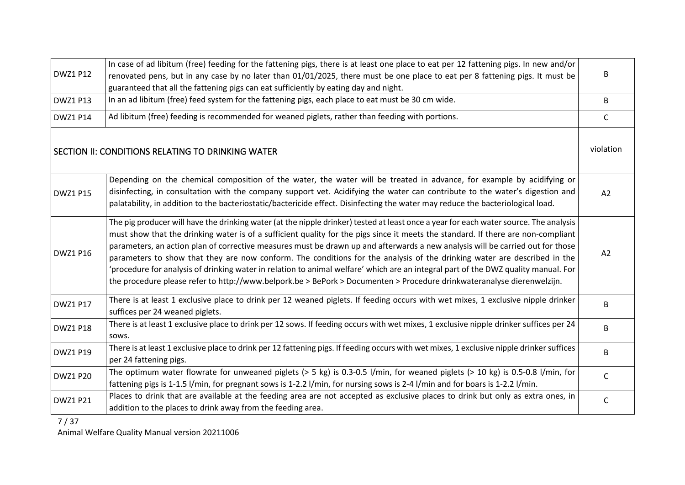| <b>DWZ1 P12</b> | In case of ad libitum (free) feeding for the fattening pigs, there is at least one place to eat per 12 fattening pigs. In new and/or<br>renovated pens, but in any case by no later than 01/01/2025, there must be one place to eat per 8 fattening pigs. It must be<br>guaranteed that all the fattening pigs can eat sufficiently by eating day and night.                                                                                                                                                                                                                                                                                                                                                                                                                                             | B            |
|-----------------|----------------------------------------------------------------------------------------------------------------------------------------------------------------------------------------------------------------------------------------------------------------------------------------------------------------------------------------------------------------------------------------------------------------------------------------------------------------------------------------------------------------------------------------------------------------------------------------------------------------------------------------------------------------------------------------------------------------------------------------------------------------------------------------------------------|--------------|
| <b>DWZ1 P13</b> | In an ad libitum (free) feed system for the fattening pigs, each place to eat must be 30 cm wide.                                                                                                                                                                                                                                                                                                                                                                                                                                                                                                                                                                                                                                                                                                        | B            |
| <b>DWZ1 P14</b> | Ad libitum (free) feeding is recommended for weaned piglets, rather than feeding with portions.                                                                                                                                                                                                                                                                                                                                                                                                                                                                                                                                                                                                                                                                                                          | C            |
|                 | SECTION II: CONDITIONS RELATING TO DRINKING WATER                                                                                                                                                                                                                                                                                                                                                                                                                                                                                                                                                                                                                                                                                                                                                        | violation    |
| <b>DWZ1 P15</b> | Depending on the chemical composition of the water, the water will be treated in advance, for example by acidifying or<br>disinfecting, in consultation with the company support vet. Acidifying the water can contribute to the water's digestion and<br>palatability, in addition to the bacteriostatic/bactericide effect. Disinfecting the water may reduce the bacteriological load.                                                                                                                                                                                                                                                                                                                                                                                                                | A2           |
| <b>DWZ1 P16</b> | The pig producer will have the drinking water (at the nipple drinker) tested at least once a year for each water source. The analysis<br>must show that the drinking water is of a sufficient quality for the pigs since it meets the standard. If there are non-compliant<br>parameters, an action plan of corrective measures must be drawn up and afterwards a new analysis will be carried out for those<br>parameters to show that they are now conform. The conditions for the analysis of the drinking water are described in the<br>'procedure for analysis of drinking water in relation to animal welfare' which are an integral part of the DWZ quality manual. For<br>the procedure please refer to http://www.belpork.be > BePork > Documenten > Procedure drinkwateranalyse dierenwelzijn. | A2           |
| <b>DWZ1 P17</b> | There is at least 1 exclusive place to drink per 12 weaned piglets. If feeding occurs with wet mixes, 1 exclusive nipple drinker<br>suffices per 24 weaned piglets.                                                                                                                                                                                                                                                                                                                                                                                                                                                                                                                                                                                                                                      | B.           |
| <b>DWZ1 P18</b> | There is at least 1 exclusive place to drink per 12 sows. If feeding occurs with wet mixes, 1 exclusive nipple drinker suffices per 24<br>sows.                                                                                                                                                                                                                                                                                                                                                                                                                                                                                                                                                                                                                                                          | B.           |
| <b>DWZ1 P19</b> | There is at least 1 exclusive place to drink per 12 fattening pigs. If feeding occurs with wet mixes, 1 exclusive nipple drinker suffices<br>per 24 fattening pigs.                                                                                                                                                                                                                                                                                                                                                                                                                                                                                                                                                                                                                                      | B.           |
| <b>DWZ1 P20</b> | The optimum water flowrate for unweaned piglets ( $> 5$ kg) is 0.3-0.5 l/min, for weaned piglets ( $> 10$ kg) is 0.5-0.8 l/min, for<br>fattening pigs is 1-1.5 l/min, for pregnant sows is 1-2.2 l/min, for nursing sows is 2-4 l/min and for boars is 1-2.2 l/min.                                                                                                                                                                                                                                                                                                                                                                                                                                                                                                                                      | C            |
| <b>DWZ1 P21</b> | Places to drink that are available at the feeding area are not accepted as exclusive places to drink but only as extra ones, in<br>addition to the places to drink away from the feeding area.                                                                                                                                                                                                                                                                                                                                                                                                                                                                                                                                                                                                           | $\mathsf{C}$ |

<span id="page-6-0"></span>7 / 37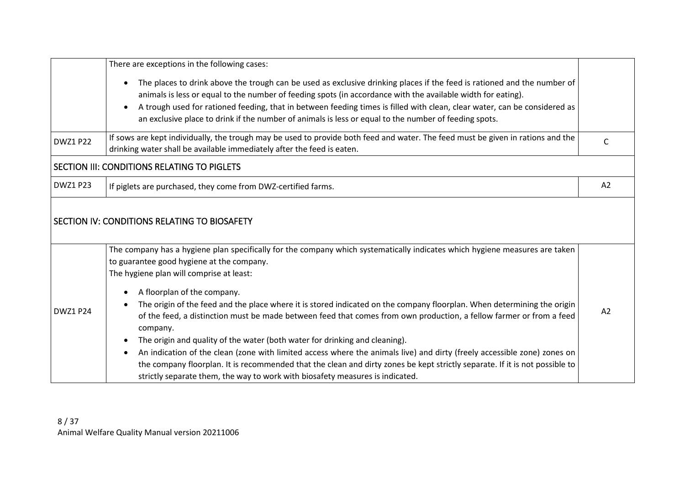<span id="page-7-1"></span><span id="page-7-0"></span>

|                 | There are exceptions in the following cases:                                                                                                                                                                                                               |    |
|-----------------|------------------------------------------------------------------------------------------------------------------------------------------------------------------------------------------------------------------------------------------------------------|----|
|                 | The places to drink above the trough can be used as exclusive drinking places if the feed is rationed and the number of<br>animals is less or equal to the number of feeding spots (in accordance with the available width for eating).                    |    |
|                 | A trough used for rationed feeding, that in between feeding times is filled with clean, clear water, can be considered as<br>$\bullet$<br>an exclusive place to drink if the number of animals is less or equal to the number of feeding spots.            |    |
| <b>DWZ1 P22</b> | If sows are kept individually, the trough may be used to provide both feed and water. The feed must be given in rations and the<br>drinking water shall be available immediately after the feed is eaten.                                                  | C  |
|                 | SECTION III: CONDITIONS RELATING TO PIGLETS                                                                                                                                                                                                                |    |
| <b>DWZ1 P23</b> | If piglets are purchased, they come from DWZ-certified farms.                                                                                                                                                                                              | A2 |
|                 | SECTION IV: CONDITIONS RELATING TO BIOSAFETY                                                                                                                                                                                                               |    |
|                 | The company has a hygiene plan specifically for the company which systematically indicates which hygiene measures are taken<br>to guarantee good hygiene at the company.                                                                                   |    |
|                 | The hygiene plan will comprise at least:<br>A floorplan of the company.                                                                                                                                                                                    |    |
| <b>DWZ1 P24</b> | The origin of the feed and the place where it is stored indicated on the company floorplan. When determining the origin<br>of the feed, a distinction must be made between feed that comes from own production, a fellow farmer or from a feed<br>company. | A2 |
|                 | The origin and quality of the water (both water for drinking and cleaning).                                                                                                                                                                                |    |
|                 | An indication of the clean (zone with limited access where the animals live) and dirty (freely accessible zone) zones on                                                                                                                                   |    |
|                 | the company floorplan. It is recommended that the clean and dirty zones be kept strictly separate. If it is not possible to                                                                                                                                |    |
|                 | strictly separate them, the way to work with biosafety measures is indicated.                                                                                                                                                                              |    |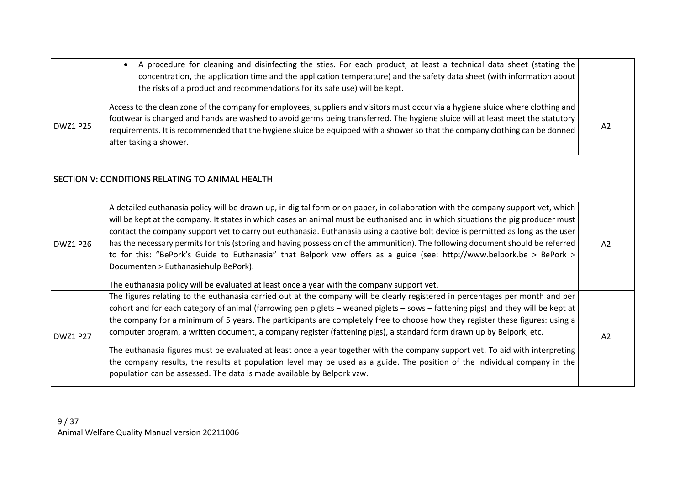<span id="page-8-0"></span>

|                 | • A procedure for cleaning and disinfecting the sties. For each product, at least a technical data sheet (stating the<br>concentration, the application time and the application temperature) and the safety data sheet (with information about<br>the risks of a product and recommendations for its safe use) will be kept.                                                                                                                                                                                                                                                                                                                                                                                                                                                                                                                                       |    |
|-----------------|---------------------------------------------------------------------------------------------------------------------------------------------------------------------------------------------------------------------------------------------------------------------------------------------------------------------------------------------------------------------------------------------------------------------------------------------------------------------------------------------------------------------------------------------------------------------------------------------------------------------------------------------------------------------------------------------------------------------------------------------------------------------------------------------------------------------------------------------------------------------|----|
| <b>DWZ1 P25</b> | Access to the clean zone of the company for employees, suppliers and visitors must occur via a hygiene sluice where clothing and<br>footwear is changed and hands are washed to avoid germs being transferred. The hygiene sluice will at least meet the statutory<br>requirements. It is recommended that the hygiene sluice be equipped with a shower so that the company clothing can be donned<br>after taking a shower.                                                                                                                                                                                                                                                                                                                                                                                                                                        | A2 |
|                 | SECTION V: CONDITIONS RELATING TO ANIMAL HEALTH                                                                                                                                                                                                                                                                                                                                                                                                                                                                                                                                                                                                                                                                                                                                                                                                                     |    |
| <b>DWZ1 P26</b> | A detailed euthanasia policy will be drawn up, in digital form or on paper, in collaboration with the company support vet, which<br>will be kept at the company. It states in which cases an animal must be euthanised and in which situations the pig producer must<br>contact the company support vet to carry out euthanasia. Euthanasia using a captive bolt device is permitted as long as the user<br>has the necessary permits for this (storing and having possession of the ammunition). The following document should be referred<br>to for this: "BePork's Guide to Euthanasia" that Belpork vzw offers as a guide (see: http://www.belpork.be > BePork ><br>Documenten > Euthanasiehulp BePork).<br>The euthanasia policy will be evaluated at least once a year with the company support vet.                                                          | A2 |
| <b>DWZ1 P27</b> | The figures relating to the euthanasia carried out at the company will be clearly registered in percentages per month and per<br>cohort and for each category of animal (farrowing pen piglets - weaned piglets - sows - fattening pigs) and they will be kept at<br>the company for a minimum of 5 years. The participants are completely free to choose how they register these figures: using a<br>computer program, a written document, a company register (fattening pigs), a standard form drawn up by Belpork, etc.<br>The euthanasia figures must be evaluated at least once a year together with the company support vet. To aid with interpreting<br>the company results, the results at population level may be used as a guide. The position of the individual company in the<br>population can be assessed. The data is made available by Belpork vzw. | A2 |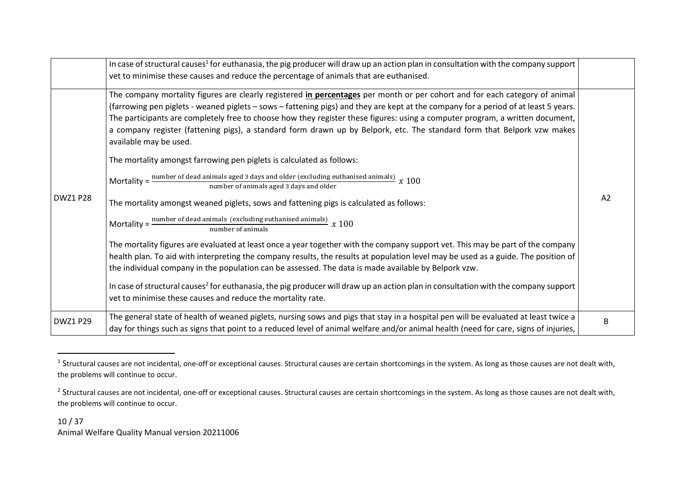|                 | In case of structural causes <sup>1</sup> for euthanasia, the pig producer will draw up an action plan in consultation with the company support<br>vet to minimise these causes and reduce the percentage of animals that are euthanised.                                                                                                                                                                                                                                                                                                                                                                                                                                                                                                                                                                                                                                                                                                                                                                                                                                                                                                                                                                                                                                                                                                                                                                                                                                                                                                                                                                              |                |
|-----------------|------------------------------------------------------------------------------------------------------------------------------------------------------------------------------------------------------------------------------------------------------------------------------------------------------------------------------------------------------------------------------------------------------------------------------------------------------------------------------------------------------------------------------------------------------------------------------------------------------------------------------------------------------------------------------------------------------------------------------------------------------------------------------------------------------------------------------------------------------------------------------------------------------------------------------------------------------------------------------------------------------------------------------------------------------------------------------------------------------------------------------------------------------------------------------------------------------------------------------------------------------------------------------------------------------------------------------------------------------------------------------------------------------------------------------------------------------------------------------------------------------------------------------------------------------------------------------------------------------------------------|----------------|
| <b>DWZ1 P28</b> | The company mortality figures are clearly registered <i>in percentages</i> per month or per cohort and for each category of animal<br>(farrowing pen piglets - weaned piglets - sows - fattening pigs) and they are kept at the company for a period of at least 5 years.<br>The participants are completely free to choose how they register these figures: using a computer program, a written document,<br>a company register (fattening pigs), a standard form drawn up by Belpork, etc. The standard form that Belpork vzw makes<br>available may be used.<br>The mortality amongst farrowing pen piglets is calculated as follows:<br>Mortality = $\frac{\text{number of dead animals aged 3 days and older (excluding euthanised animals)}}{x 100}$<br>number of animals aged 3 days and older<br>The mortality amongst weaned piglets, sows and fattening pigs is calculated as follows:<br>Mortality = $\frac{\text{number of dead animals (excluding cuthanised animals)}}{x 100}$<br>number of animals<br>The mortality figures are evaluated at least once a year together with the company support vet. This may be part of the company  <br>health plan. To aid with interpreting the company results, the results at population level may be used as a guide. The position of<br>the individual company in the population can be assessed. The data is made available by Belpork vzw.<br>In case of structural causes <sup>2</sup> for euthanasia, the pig producer will draw up an action plan in consultation with the company support<br>vet to minimise these causes and reduce the mortality rate. | A <sub>2</sub> |
| <b>DWZ1 P29</b> | The general state of health of weaned piglets, nursing sows and pigs that stay in a hospital pen will be evaluated at least twice a<br>day for things such as signs that point to a reduced level of animal welfare and/or animal health (need for care, signs of injuries,                                                                                                                                                                                                                                                                                                                                                                                                                                                                                                                                                                                                                                                                                                                                                                                                                                                                                                                                                                                                                                                                                                                                                                                                                                                                                                                                            | B              |

 $^1$  Structural causes are not incidental, one-off or exceptional causes. Structural causes are certain shortcomings in the system. As long as those causes are not dealt with, the problems will continue to occur.

 $^2$  Structural causes are not incidental, one-off or exceptional causes. Structural causes are certain shortcomings in the system. As long as those causes are not dealt with, the problems will continue to occur.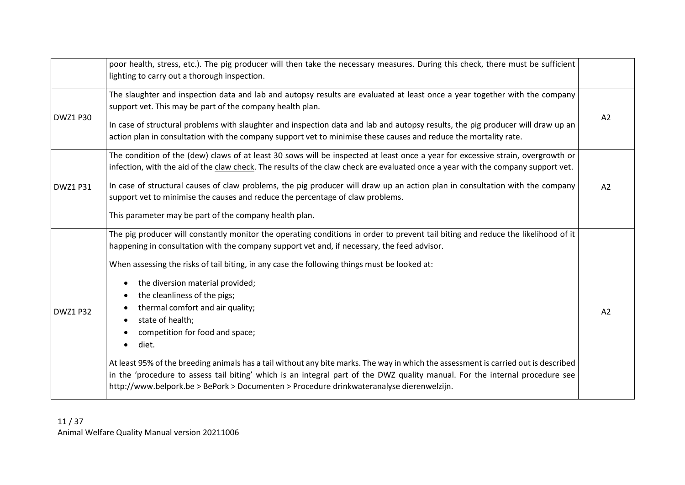|                 | poor health, stress, etc.). The pig producer will then take the necessary measures. During this check, there must be sufficient                                                                                                                                                                                                                                                                                                                                                                                                                                                                                                                                                                                                                                                                                                                                             |    |
|-----------------|-----------------------------------------------------------------------------------------------------------------------------------------------------------------------------------------------------------------------------------------------------------------------------------------------------------------------------------------------------------------------------------------------------------------------------------------------------------------------------------------------------------------------------------------------------------------------------------------------------------------------------------------------------------------------------------------------------------------------------------------------------------------------------------------------------------------------------------------------------------------------------|----|
|                 | lighting to carry out a thorough inspection.                                                                                                                                                                                                                                                                                                                                                                                                                                                                                                                                                                                                                                                                                                                                                                                                                                |    |
| <b>DWZ1 P30</b> | The slaughter and inspection data and lab and autopsy results are evaluated at least once a year together with the company<br>support vet. This may be part of the company health plan.<br>In case of structural problems with slaughter and inspection data and lab and autopsy results, the pig producer will draw up an<br>action plan in consultation with the company support vet to minimise these causes and reduce the mortality rate.                                                                                                                                                                                                                                                                                                                                                                                                                              | A2 |
| <b>DWZ1 P31</b> | The condition of the (dew) claws of at least 30 sows will be inspected at least once a year for excessive strain, overgrowth or<br>infection, with the aid of the claw check. The results of the claw check are evaluated once a year with the company support vet.<br>In case of structural causes of claw problems, the pig producer will draw up an action plan in consultation with the company<br>support vet to minimise the causes and reduce the percentage of claw problems.<br>This parameter may be part of the company health plan.                                                                                                                                                                                                                                                                                                                             | A2 |
| <b>DWZ1 P32</b> | The pig producer will constantly monitor the operating conditions in order to prevent tail biting and reduce the likelihood of it<br>happening in consultation with the company support vet and, if necessary, the feed advisor.<br>When assessing the risks of tail biting, in any case the following things must be looked at:<br>the diversion material provided;<br>the cleanliness of the pigs;<br>thermal comfort and air quality;<br>state of health;<br>competition for food and space;<br>diet.<br>At least 95% of the breeding animals has a tail without any bite marks. The way in which the assessment is carried out is described<br>in the 'procedure to assess tail biting' which is an integral part of the DWZ quality manual. For the internal procedure see<br>http://www.belpork.be > BePork > Documenten > Procedure drinkwateranalyse dierenwelzijn. | A2 |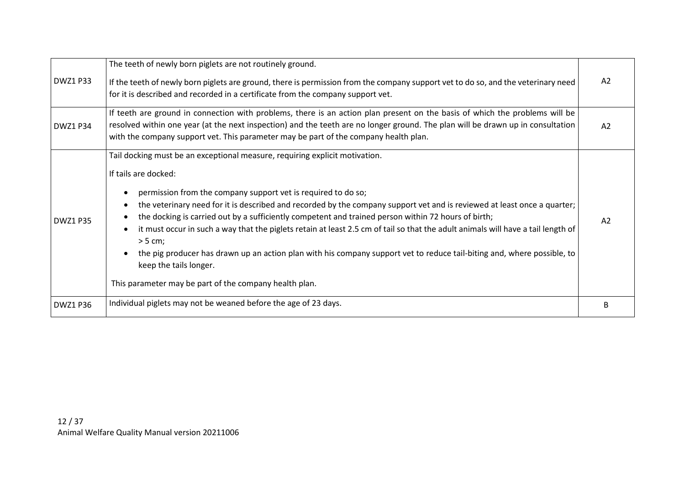| <b>DWZ1 P33</b> | The teeth of newly born piglets are not routinely ground.<br>If the teeth of newly born piglets are ground, there is permission from the company support vet to do so, and the veterinary need<br>for it is described and recorded in a certificate from the company support vet.                                                                                                                                                                                                                                                                                                                                                                                                                                                                                                  | A2             |
|-----------------|------------------------------------------------------------------------------------------------------------------------------------------------------------------------------------------------------------------------------------------------------------------------------------------------------------------------------------------------------------------------------------------------------------------------------------------------------------------------------------------------------------------------------------------------------------------------------------------------------------------------------------------------------------------------------------------------------------------------------------------------------------------------------------|----------------|
| <b>DWZ1 P34</b> | If teeth are ground in connection with problems, there is an action plan present on the basis of which the problems will be<br>resolved within one year (at the next inspection) and the teeth are no longer ground. The plan will be drawn up in consultation<br>with the company support vet. This parameter may be part of the company health plan.                                                                                                                                                                                                                                                                                                                                                                                                                             | A2             |
| <b>DWZ1 P35</b> | Tail docking must be an exceptional measure, requiring explicit motivation.<br>If tails are docked:<br>permission from the company support vet is required to do so;<br>the veterinary need for it is described and recorded by the company support vet and is reviewed at least once a quarter;<br>$\bullet$<br>the docking is carried out by a sufficiently competent and trained person within 72 hours of birth;<br>it must occur in such a way that the piglets retain at least 2.5 cm of tail so that the adult animals will have a tail length of<br>> 5 cm;<br>the pig producer has drawn up an action plan with his company support vet to reduce tail-biting and, where possible, to<br>keep the tails longer.<br>This parameter may be part of the company health plan. | A <sub>2</sub> |
| <b>DWZ1 P36</b> | Individual piglets may not be weaned before the age of 23 days.                                                                                                                                                                                                                                                                                                                                                                                                                                                                                                                                                                                                                                                                                                                    | В              |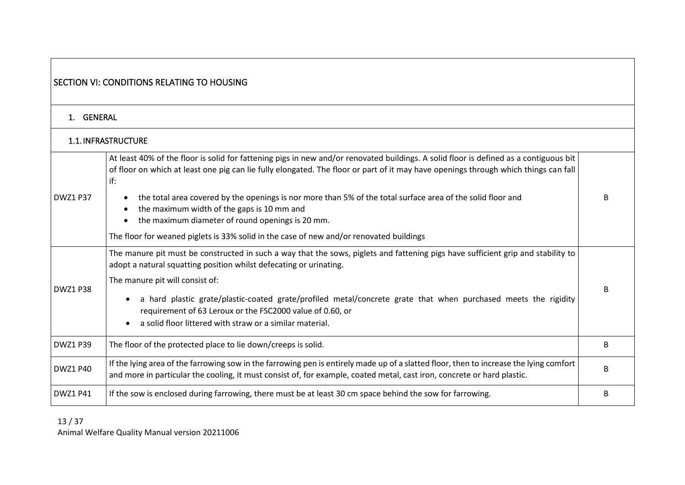<span id="page-12-2"></span><span id="page-12-1"></span><span id="page-12-0"></span>

|                 | SECTION VI: CONDITIONS RELATING TO HOUSING                                                                                                                                                                                                                                          |   |
|-----------------|-------------------------------------------------------------------------------------------------------------------------------------------------------------------------------------------------------------------------------------------------------------------------------------|---|
| 1. GENERAL      |                                                                                                                                                                                                                                                                                     |   |
|                 | 1.1. INFRASTRUCTURE                                                                                                                                                                                                                                                                 |   |
|                 | At least 40% of the floor is solid for fattening pigs in new and/or renovated buildings. A solid floor is defined as a contiguous bit<br>of floor on which at least one pig can lie fully elongated. The floor or part of it may have openings through which things can fall<br>if: |   |
| <b>DWZ1 P37</b> | the total area covered by the openings is nor more than 5% of the total surface area of the solid floor and<br>the maximum width of the gaps is 10 mm and<br>the maximum diameter of round openings is 20 mm.                                                                       | R |
|                 | The floor for weaned piglets is 33% solid in the case of new and/or renovated buildings                                                                                                                                                                                             |   |
|                 | The manure pit must be constructed in such a way that the sows, piglets and fattening pigs have sufficient grip and stability to<br>adopt a natural squatting position whilst defecating or urinating.                                                                              |   |
| <b>DWZ1 P38</b> | The manure pit will consist of:<br>a hard plastic grate/plastic-coated grate/profiled metal/concrete grate that when purchased meets the rigidity<br>requirement of 63 Leroux or the FSC2000 value of 0.60, or<br>a solid floor littered with straw or a similar material.          | В |
| <b>DWZ1 P39</b> | The floor of the protected place to lie down/creeps is solid.                                                                                                                                                                                                                       | B |
| <b>DWZ1 P40</b> | If the lying area of the farrowing sow in the farrowing pen is entirely made up of a slatted floor, then to increase the lying comfort<br>and more in particular the cooling, it must consist of, for example, coated metal, cast iron, concrete or hard plastic.                   | В |
| <b>DWZ1 P41</b> | If the sow is enclosed during farrowing, there must be at least 30 cm space behind the sow for farrowing.                                                                                                                                                                           | B |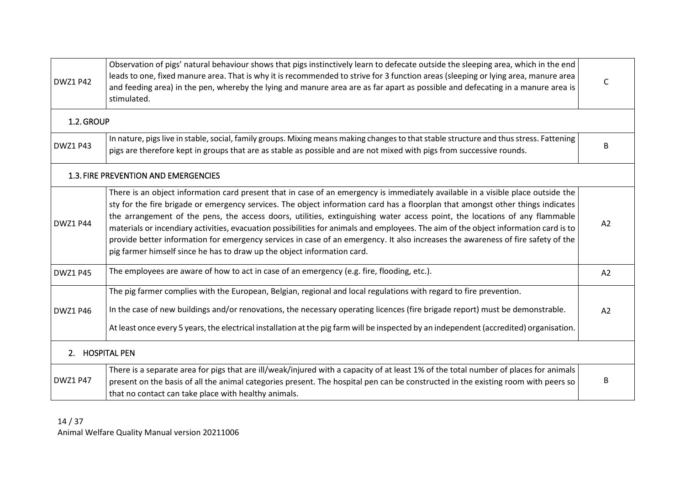<span id="page-13-2"></span><span id="page-13-1"></span><span id="page-13-0"></span>

| <b>DWZ1 P42</b> | Observation of pigs' natural behaviour shows that pigs instinctively learn to defecate outside the sleeping area, which in the end<br>leads to one, fixed manure area. That is why it is recommended to strive for 3 function areas (sleeping or lying area, manure area<br>and feeding area) in the pen, whereby the lying and manure area are as far apart as possible and defecating in a manure area is<br>stimulated.                                                                                                                                                                                                                                                                                                                               | C              |
|-----------------|----------------------------------------------------------------------------------------------------------------------------------------------------------------------------------------------------------------------------------------------------------------------------------------------------------------------------------------------------------------------------------------------------------------------------------------------------------------------------------------------------------------------------------------------------------------------------------------------------------------------------------------------------------------------------------------------------------------------------------------------------------|----------------|
| 1.2. GROUP      |                                                                                                                                                                                                                                                                                                                                                                                                                                                                                                                                                                                                                                                                                                                                                          |                |
| <b>DWZ1 P43</b> | In nature, pigs live in stable, social, family groups. Mixing means making changes to that stable structure and thus stress. Fattening<br>pigs are therefore kept in groups that are as stable as possible and are not mixed with pigs from successive rounds.                                                                                                                                                                                                                                                                                                                                                                                                                                                                                           | B              |
|                 | 1.3. FIRE PREVENTION AND EMERGENCIES                                                                                                                                                                                                                                                                                                                                                                                                                                                                                                                                                                                                                                                                                                                     |                |
| <b>DWZ1 P44</b> | There is an object information card present that in case of an emergency is immediately available in a visible place outside the<br>sty for the fire brigade or emergency services. The object information card has a floorplan that amongst other things indicates<br>the arrangement of the pens, the access doors, utilities, extinguishing water access point, the locations of any flammable<br>materials or incendiary activities, evacuation possibilities for animals and employees. The aim of the object information card is to<br>provide better information for emergency services in case of an emergency. It also increases the awareness of fire safety of the<br>pig farmer himself since he has to draw up the object information card. | A2             |
| <b>DWZ1 P45</b> | The employees are aware of how to act in case of an emergency (e.g. fire, flooding, etc.).                                                                                                                                                                                                                                                                                                                                                                                                                                                                                                                                                                                                                                                               | A2             |
| <b>DWZ1 P46</b> | The pig farmer complies with the European, Belgian, regional and local regulations with regard to fire prevention.<br>In the case of new buildings and/or renovations, the necessary operating licences (fire brigade report) must be demonstrable.<br>At least once every 5 years, the electrical installation at the pig farm will be inspected by an independent (accredited) organisation.                                                                                                                                                                                                                                                                                                                                                           | A <sub>2</sub> |
| 2. HOSPITAL PEN |                                                                                                                                                                                                                                                                                                                                                                                                                                                                                                                                                                                                                                                                                                                                                          |                |
| <b>DWZ1 P47</b> | There is a separate area for pigs that are ill/weak/injured with a capacity of at least 1% of the total number of places for animals<br>present on the basis of all the animal categories present. The hospital pen can be constructed in the existing room with peers so<br>that no contact can take place with healthy animals.                                                                                                                                                                                                                                                                                                                                                                                                                        | B              |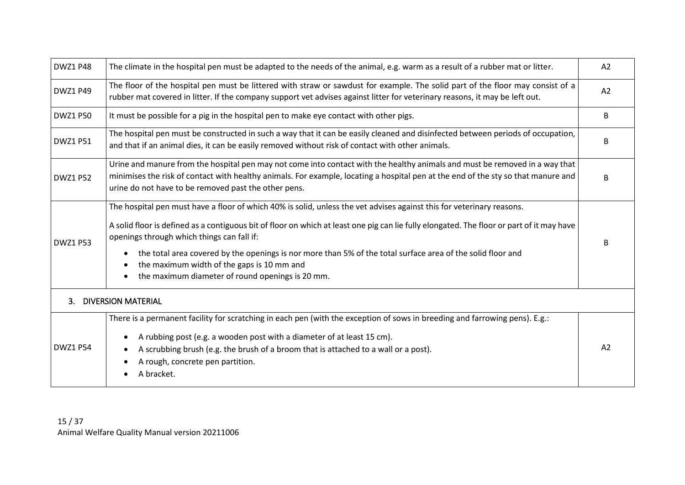<span id="page-14-0"></span>

| <b>DWZ1 P48</b> | The climate in the hospital pen must be adapted to the needs of the animal, e.g. warm as a result of a rubber mat or litter.                                                                                                                                                                                                                                                                                                                                                                                                                   | A2 |
|-----------------|------------------------------------------------------------------------------------------------------------------------------------------------------------------------------------------------------------------------------------------------------------------------------------------------------------------------------------------------------------------------------------------------------------------------------------------------------------------------------------------------------------------------------------------------|----|
| <b>DWZ1 P49</b> | The floor of the hospital pen must be littered with straw or sawdust for example. The solid part of the floor may consist of a<br>rubber mat covered in litter. If the company support vet advises against litter for veterinary reasons, it may be left out.                                                                                                                                                                                                                                                                                  | A2 |
| <b>DWZ1 P50</b> | It must be possible for a pig in the hospital pen to make eye contact with other pigs.                                                                                                                                                                                                                                                                                                                                                                                                                                                         | B  |
| <b>DWZ1 P51</b> | The hospital pen must be constructed in such a way that it can be easily cleaned and disinfected between periods of occupation,<br>and that if an animal dies, it can be easily removed without risk of contact with other animals.                                                                                                                                                                                                                                                                                                            | B  |
| <b>DWZ1 P52</b> | Urine and manure from the hospital pen may not come into contact with the healthy animals and must be removed in a way that<br>minimises the risk of contact with healthy animals. For example, locating a hospital pen at the end of the sty so that manure and<br>urine do not have to be removed past the other pens.                                                                                                                                                                                                                       | B  |
| <b>DWZ1 P53</b> | The hospital pen must have a floor of which 40% is solid, unless the vet advises against this for veterinary reasons.<br>A solid floor is defined as a contiguous bit of floor on which at least one pig can lie fully elongated. The floor or part of it may have<br>openings through which things can fall if:<br>the total area covered by the openings is nor more than 5% of the total surface area of the solid floor and<br>$\bullet$<br>the maximum width of the gaps is 10 mm and<br>the maximum diameter of round openings is 20 mm. | R  |
| 3.              | <b>DIVERSION MATERIAL</b>                                                                                                                                                                                                                                                                                                                                                                                                                                                                                                                      |    |
| <b>DWZ1 P54</b> | There is a permanent facility for scratching in each pen (with the exception of sows in breeding and farrowing pens). E.g.:<br>A rubbing post (e.g. a wooden post with a diameter of at least 15 cm).<br>A scrubbing brush (e.g. the brush of a broom that is attached to a wall or a post).<br>A rough, concrete pen partition.<br>A bracket.                                                                                                                                                                                                 | A2 |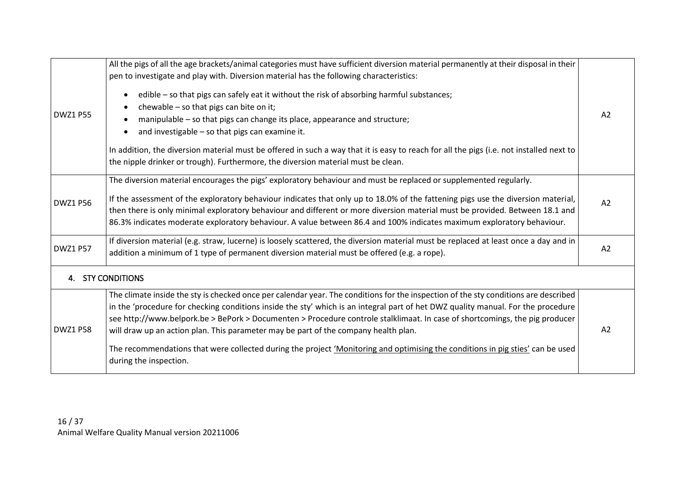<span id="page-15-0"></span>

| <b>DWZ1 P55</b> | All the pigs of all the age brackets/animal categories must have sufficient diversion material permanently at their disposal in their<br>pen to investigate and play with. Diversion material has the following characteristics:<br>edible - so that pigs can safely eat it without the risk of absorbing harmful substances;<br>chewable - so that pigs can bite on it;<br>manipulable - so that pigs can change its place, appearance and structure;<br>and investigable - so that pigs can examine it.<br>In addition, the diversion material must be offered in such a way that it is easy to reach for all the pigs (i.e. not installed next to<br>the nipple drinker or trough). Furthermore, the diversion material must be clean. | A2 |
|-----------------|-------------------------------------------------------------------------------------------------------------------------------------------------------------------------------------------------------------------------------------------------------------------------------------------------------------------------------------------------------------------------------------------------------------------------------------------------------------------------------------------------------------------------------------------------------------------------------------------------------------------------------------------------------------------------------------------------------------------------------------------|----|
| <b>DWZ1 P56</b> | The diversion material encourages the pigs' exploratory behaviour and must be replaced or supplemented regularly.<br>If the assessment of the exploratory behaviour indicates that only up to 18.0% of the fattening pigs use the diversion material,<br>then there is only minimal exploratory behaviour and different or more diversion material must be provided. Between 18.1 and<br>86.3% indicates moderate exploratory behaviour. A value between 86.4 and 100% indicates maximum exploratory behaviour.                                                                                                                                                                                                                           | A2 |
| <b>DWZ1 P57</b> | If diversion material (e.g. straw, lucerne) is loosely scattered, the diversion material must be replaced at least once a day and in<br>addition a minimum of 1 type of permanent diversion material must be offered (e.g. a rope).                                                                                                                                                                                                                                                                                                                                                                                                                                                                                                       | A2 |
|                 | 4. STY CONDITIONS                                                                                                                                                                                                                                                                                                                                                                                                                                                                                                                                                                                                                                                                                                                         |    |
| <b>DWZ1 P58</b> | The climate inside the sty is checked once per calendar year. The conditions for the inspection of the sty conditions are described<br>in the 'procedure for checking conditions inside the sty' which is an integral part of het DWZ quality manual. For the procedure<br>see http://www.belpork.be > BePork > Documenten > Procedure controle stalklimaat. In case of shortcomings, the pig producer<br>will draw up an action plan. This parameter may be part of the company health plan.<br>The recommendations that were collected during the project 'Monitoring and optimising the conditions in pig sties' can be used<br>during the inspection.                                                                                 | A2 |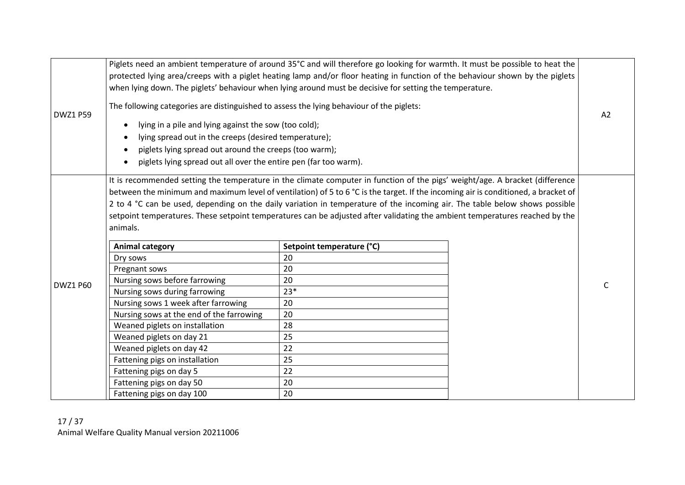| <b>DWZ1 P59</b> | Piglets need an ambient temperature of around 35°C and will therefore go looking for warmth. It must be possible to heat the<br>protected lying area/creeps with a piglet heating lamp and/or floor heating in function of the behaviour shown by the piglets<br>when lying down. The piglets' behaviour when lying around must be decisive for setting the temperature.<br>The following categories are distinguished to assess the lying behaviour of the piglets:<br>lying in a pile and lying against the sow (too cold);<br>lying spread out in the creeps (desired temperature);<br>piglets lying spread out around the creeps (too warm);<br>piglets lying spread out all over the entire pen (far too warm). |                                 |  | A2 |
|-----------------|----------------------------------------------------------------------------------------------------------------------------------------------------------------------------------------------------------------------------------------------------------------------------------------------------------------------------------------------------------------------------------------------------------------------------------------------------------------------------------------------------------------------------------------------------------------------------------------------------------------------------------------------------------------------------------------------------------------------|---------------------------------|--|----|
|                 | It is recommended setting the temperature in the climate computer in function of the pigs' weight/age. A bracket (difference<br>between the minimum and maximum level of ventilation) of 5 to 6 °C is the target. If the incoming air is conditioned, a bracket of<br>2 to 4 °C can be used, depending on the daily variation in temperature of the incoming air. The table below shows possible<br>setpoint temperatures. These setpoint temperatures can be adjusted after validating the ambient temperatures reached by the<br>animals.                                                                                                                                                                          |                                 |  |    |
|                 | <b>Animal category</b><br>Dry sows                                                                                                                                                                                                                                                                                                                                                                                                                                                                                                                                                                                                                                                                                   | Setpoint temperature (°C)<br>20 |  |    |
|                 | Pregnant sows                                                                                                                                                                                                                                                                                                                                                                                                                                                                                                                                                                                                                                                                                                        | 20                              |  |    |
|                 | Nursing sows before farrowing                                                                                                                                                                                                                                                                                                                                                                                                                                                                                                                                                                                                                                                                                        | 20                              |  |    |
| <b>DWZ1 P60</b> | Nursing sows during farrowing                                                                                                                                                                                                                                                                                                                                                                                                                                                                                                                                                                                                                                                                                        | $23*$                           |  | C  |
|                 | Nursing sows 1 week after farrowing                                                                                                                                                                                                                                                                                                                                                                                                                                                                                                                                                                                                                                                                                  | 20                              |  |    |
|                 | Nursing sows at the end of the farrowing                                                                                                                                                                                                                                                                                                                                                                                                                                                                                                                                                                                                                                                                             | 20                              |  |    |
|                 | Weaned piglets on installation                                                                                                                                                                                                                                                                                                                                                                                                                                                                                                                                                                                                                                                                                       | 28                              |  |    |
|                 | Weaned piglets on day 21                                                                                                                                                                                                                                                                                                                                                                                                                                                                                                                                                                                                                                                                                             | 25                              |  |    |
|                 | Weaned piglets on day 42                                                                                                                                                                                                                                                                                                                                                                                                                                                                                                                                                                                                                                                                                             | 22                              |  |    |
|                 | Fattening pigs on installation                                                                                                                                                                                                                                                                                                                                                                                                                                                                                                                                                                                                                                                                                       | 25                              |  |    |
|                 | Fattening pigs on day 5                                                                                                                                                                                                                                                                                                                                                                                                                                                                                                                                                                                                                                                                                              | 22                              |  |    |
|                 | Fattening pigs on day 50                                                                                                                                                                                                                                                                                                                                                                                                                                                                                                                                                                                                                                                                                             | 20                              |  |    |
|                 | Fattening pigs on day 100                                                                                                                                                                                                                                                                                                                                                                                                                                                                                                                                                                                                                                                                                            | 20                              |  |    |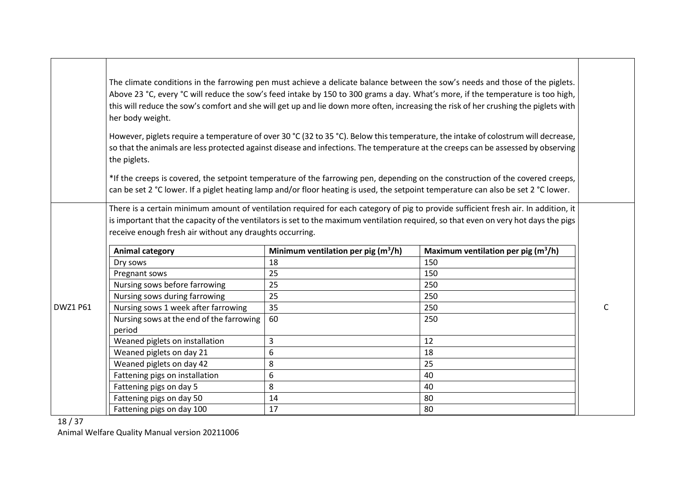|                 | The climate conditions in the farrowing pen must achieve a delicate balance between the sow's needs and those of the piglets.<br>Above 23 °C, every °C will reduce the sow's feed intake by 150 to 300 grams a day. What's more, if the temperature is too high,<br>this will reduce the sow's comfort and she will get up and lie down more often, increasing the risk of her crushing the piglets with<br>her body weight.<br>However, piglets require a temperature of over 30 °C (32 to 35 °C). Below this temperature, the intake of colostrum will decrease,<br>so that the animals are less protected against disease and infections. The temperature at the creeps can be assessed by observing |                                                 |                                                                                                                                                                                                                                                                             |   |
|-----------------|---------------------------------------------------------------------------------------------------------------------------------------------------------------------------------------------------------------------------------------------------------------------------------------------------------------------------------------------------------------------------------------------------------------------------------------------------------------------------------------------------------------------------------------------------------------------------------------------------------------------------------------------------------------------------------------------------------|-------------------------------------------------|-----------------------------------------------------------------------------------------------------------------------------------------------------------------------------------------------------------------------------------------------------------------------------|---|
|                 | the piglets.                                                                                                                                                                                                                                                                                                                                                                                                                                                                                                                                                                                                                                                                                            |                                                 |                                                                                                                                                                                                                                                                             |   |
|                 |                                                                                                                                                                                                                                                                                                                                                                                                                                                                                                                                                                                                                                                                                                         |                                                 | *If the creeps is covered, the setpoint temperature of the farrowing pen, depending on the construction of the covered creeps,<br>can be set 2 °C lower. If a piglet heating lamp and/or floor heating is used, the setpoint temperature can also be set 2 °C lower.        |   |
|                 | receive enough fresh air without any draughts occurring.                                                                                                                                                                                                                                                                                                                                                                                                                                                                                                                                                                                                                                                |                                                 | There is a certain minimum amount of ventilation required for each category of pig to provide sufficient fresh air. In addition, it<br>is important that the capacity of the ventilators is set to the maximum ventilation required, so that even on very hot days the pigs |   |
|                 | <b>Animal category</b>                                                                                                                                                                                                                                                                                                                                                                                                                                                                                                                                                                                                                                                                                  | Minimum ventilation per pig (m <sup>3</sup> /h) | Maximum ventilation per pig $(m^3/h)$                                                                                                                                                                                                                                       |   |
|                 | Dry sows                                                                                                                                                                                                                                                                                                                                                                                                                                                                                                                                                                                                                                                                                                | 18                                              | 150                                                                                                                                                                                                                                                                         |   |
|                 | Pregnant sows                                                                                                                                                                                                                                                                                                                                                                                                                                                                                                                                                                                                                                                                                           | 25                                              | 150                                                                                                                                                                                                                                                                         |   |
|                 | Nursing sows before farrowing                                                                                                                                                                                                                                                                                                                                                                                                                                                                                                                                                                                                                                                                           | 25                                              | 250                                                                                                                                                                                                                                                                         |   |
|                 | Nursing sows during farrowing                                                                                                                                                                                                                                                                                                                                                                                                                                                                                                                                                                                                                                                                           | 25                                              | 250                                                                                                                                                                                                                                                                         |   |
| <b>DWZ1 P61</b> | Nursing sows 1 week after farrowing                                                                                                                                                                                                                                                                                                                                                                                                                                                                                                                                                                                                                                                                     | 35                                              | 250                                                                                                                                                                                                                                                                         | C |
|                 | Nursing sows at the end of the farrowing<br>period                                                                                                                                                                                                                                                                                                                                                                                                                                                                                                                                                                                                                                                      | 60                                              | 250                                                                                                                                                                                                                                                                         |   |
|                 | Weaned piglets on installation                                                                                                                                                                                                                                                                                                                                                                                                                                                                                                                                                                                                                                                                          | 3                                               | 12                                                                                                                                                                                                                                                                          |   |
|                 | Weaned piglets on day 21                                                                                                                                                                                                                                                                                                                                                                                                                                                                                                                                                                                                                                                                                | 6                                               | 18                                                                                                                                                                                                                                                                          |   |
|                 | Weaned piglets on day 42                                                                                                                                                                                                                                                                                                                                                                                                                                                                                                                                                                                                                                                                                | 8                                               | 25                                                                                                                                                                                                                                                                          |   |
|                 | Fattening pigs on installation                                                                                                                                                                                                                                                                                                                                                                                                                                                                                                                                                                                                                                                                          | 6                                               | 40                                                                                                                                                                                                                                                                          |   |
|                 | Fattening pigs on day 5                                                                                                                                                                                                                                                                                                                                                                                                                                                                                                                                                                                                                                                                                 | 8                                               | 40                                                                                                                                                                                                                                                                          |   |
|                 | Fattening pigs on day 50                                                                                                                                                                                                                                                                                                                                                                                                                                                                                                                                                                                                                                                                                | 14                                              | 80                                                                                                                                                                                                                                                                          |   |
|                 | Fattening pigs on day 100                                                                                                                                                                                                                                                                                                                                                                                                                                                                                                                                                                                                                                                                               | 17                                              | 80                                                                                                                                                                                                                                                                          |   |

18 / 37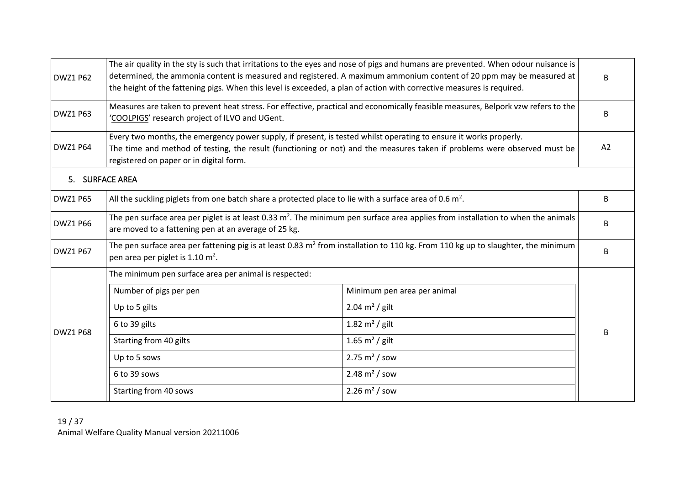<span id="page-18-0"></span>

| <b>DWZ1 P62</b> | The air quality in the sty is such that irritations to the eyes and nose of pigs and humans are prevented. When odour nuisance is<br>determined, the ammonia content is measured and registered. A maximum ammonium content of 20 ppm may be measured at<br>the height of the fattening pigs. When this level is exceeded, a plan of action with corrective measures is required. |                                                                                                                                   |    |
|-----------------|-----------------------------------------------------------------------------------------------------------------------------------------------------------------------------------------------------------------------------------------------------------------------------------------------------------------------------------------------------------------------------------|-----------------------------------------------------------------------------------------------------------------------------------|----|
| <b>DWZ1 P63</b> | 'COOLPIGS' research project of ILVO and UGent.                                                                                                                                                                                                                                                                                                                                    | Measures are taken to prevent heat stress. For effective, practical and economically feasible measures, Belpork vzw refers to the | B  |
| <b>DWZ1 P64</b> | Every two months, the emergency power supply, if present, is tested whilst operating to ensure it works properly.<br>The time and method of testing, the result (functioning or not) and the measures taken if problems were observed must be<br>registered on paper or in digital form.                                                                                          |                                                                                                                                   | A2 |
| 5. SURFACE AREA |                                                                                                                                                                                                                                                                                                                                                                                   |                                                                                                                                   |    |
| <b>DWZ1 P65</b> | All the suckling piglets from one batch share a protected place to lie with a surface area of 0.6 $m^2$ .                                                                                                                                                                                                                                                                         |                                                                                                                                   | В  |
| <b>DWZ1 P66</b> | The pen surface area per piglet is at least 0.33 $m^2$ . The minimum pen surface area applies from installation to when the animals<br>are moved to a fattening pen at an average of 25 kg.                                                                                                                                                                                       |                                                                                                                                   | B  |
| <b>DWZ1 P67</b> | The pen surface area per fattening pig is at least 0.83 m <sup>2</sup> from installation to 110 kg. From 110 kg up to slaughter, the minimum<br>pen area per piglet is 1.10 m <sup>2</sup> .                                                                                                                                                                                      |                                                                                                                                   | В  |
|                 | The minimum pen surface area per animal is respected:                                                                                                                                                                                                                                                                                                                             |                                                                                                                                   |    |
|                 | Number of pigs per pen                                                                                                                                                                                                                                                                                                                                                            | Minimum pen area per animal                                                                                                       |    |
|                 | Up to 5 gilts                                                                                                                                                                                                                                                                                                                                                                     | $2.04 \text{ m}^2$ / gilt                                                                                                         |    |
| <b>DWZ1 P68</b> | 6 to 39 gilts                                                                                                                                                                                                                                                                                                                                                                     | 1.82 $m^2$ / gilt                                                                                                                 |    |
|                 | Starting from 40 gilts                                                                                                                                                                                                                                                                                                                                                            | 1.65 $m^2$ / gilt                                                                                                                 | B. |
|                 | Up to 5 sows                                                                                                                                                                                                                                                                                                                                                                      | $2.75 \text{ m}^2$ / sow                                                                                                          |    |
|                 | 6 to 39 sows                                                                                                                                                                                                                                                                                                                                                                      | $2.48 \text{ m}^2$ / sow                                                                                                          |    |
|                 | Starting from 40 sows                                                                                                                                                                                                                                                                                                                                                             | $2.26 \, \text{m}^2 / \, \text{sow}$                                                                                              |    |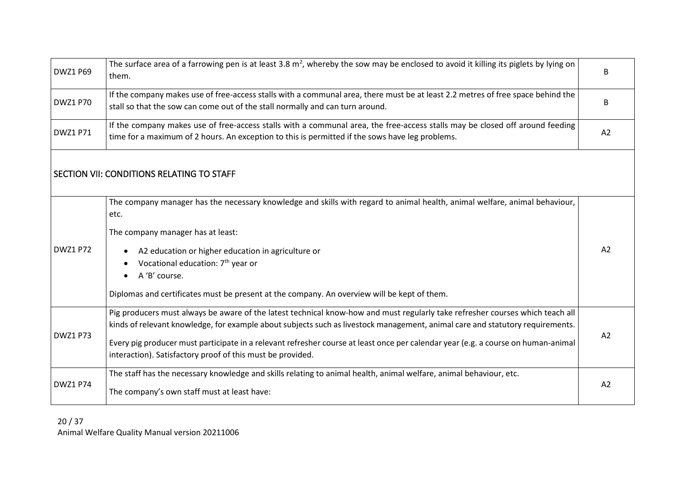<span id="page-19-0"></span>

| <b>DWZ1 P69</b> | The surface area of a farrowing pen is at least 3.8 $m^2$ , whereby the sow may be enclosed to avoid it killing its piglets by lying on<br>them.                                                                                                               | B              |
|-----------------|----------------------------------------------------------------------------------------------------------------------------------------------------------------------------------------------------------------------------------------------------------------|----------------|
| <b>DWZ1 P70</b> | If the company makes use of free-access stalls with a communal area, there must be at least 2.2 metres of free space behind the<br>stall so that the sow can come out of the stall normally and can turn around.                                               | В              |
| <b>DWZ1 P71</b> | If the company makes use of free-access stalls with a communal area, the free-access stalls may be closed off around feeding<br>time for a maximum of 2 hours. An exception to this is permitted if the sows have leg problems.                                | A2             |
|                 | SECTION VII: CONDITIONS RELATING TO STAFF                                                                                                                                                                                                                      |                |
|                 | The company manager has the necessary knowledge and skills with regard to animal health, animal welfare, animal behaviour,<br>etc.                                                                                                                             |                |
|                 | The company manager has at least:                                                                                                                                                                                                                              |                |
| <b>DWZ1 P72</b> | A2 education or higher education in agriculture or                                                                                                                                                                                                             | A <sub>2</sub> |
|                 | Vocational education: 7 <sup>th</sup> year or                                                                                                                                                                                                                  |                |
|                 | A 'B' course.                                                                                                                                                                                                                                                  |                |
|                 | Diplomas and certificates must be present at the company. An overview will be kept of them.                                                                                                                                                                    |                |
|                 | Pig producers must always be aware of the latest technical know-how and must regularly take refresher courses which teach all<br>kinds of relevant knowledge, for example about subjects such as livestock management, animal care and statutory requirements. |                |
| <b>DWZ1 P73</b> | Every pig producer must participate in a relevant refresher course at least once per calendar year (e.g. a course on human-animal<br>interaction). Satisfactory proof of this must be provided.                                                                | A2             |
|                 | The staff has the necessary knowledge and skills relating to animal health, animal welfare, animal behaviour, etc.                                                                                                                                             |                |
| <b>DWZ1 P74</b> | The company's own staff must at least have:                                                                                                                                                                                                                    | A2             |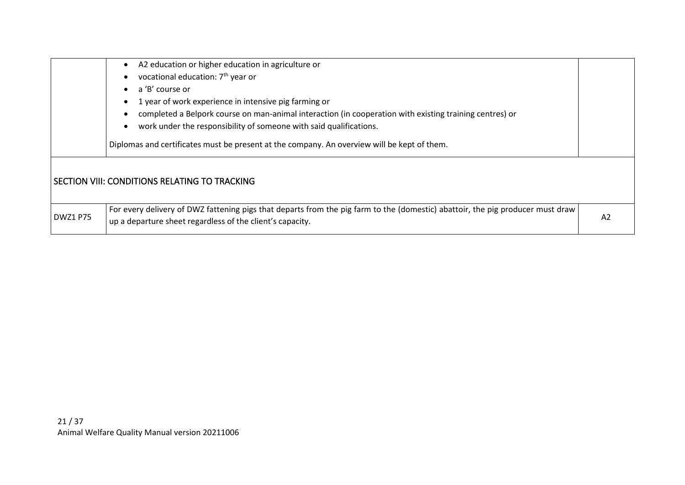<span id="page-20-0"></span>

|                 | A2 education or higher education in agriculture or<br>vocational education: 7 <sup>th</sup> year or<br>a 'B' course or<br>1 year of work experience in intensive pig farming or<br>completed a Belpork course on man-animal interaction (in cooperation with existing training centres) or<br>work under the responsibility of someone with said qualifications.<br>Diplomas and certificates must be present at the company. An overview will be kept of them. |    |
|-----------------|-----------------------------------------------------------------------------------------------------------------------------------------------------------------------------------------------------------------------------------------------------------------------------------------------------------------------------------------------------------------------------------------------------------------------------------------------------------------|----|
|                 | SECTION VIII: CONDITIONS RELATING TO TRACKING                                                                                                                                                                                                                                                                                                                                                                                                                   |    |
| <b>DWZ1 P75</b> | For every delivery of DWZ fattening pigs that departs from the pig farm to the (domestic) abattoir, the pig producer must draw<br>up a departure sheet regardless of the client's capacity.                                                                                                                                                                                                                                                                     | A2 |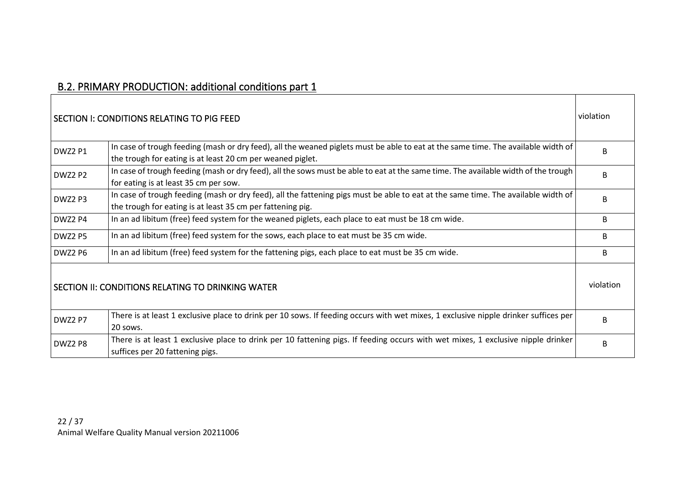## B.2. PRIMARY PRODUCTION: additional conditions part 1

<span id="page-21-2"></span><span id="page-21-1"></span><span id="page-21-0"></span>

|                | SECTION I: CONDITIONS RELATING TO PIG FEED                                                                                                                                                      | violation |
|----------------|-------------------------------------------------------------------------------------------------------------------------------------------------------------------------------------------------|-----------|
| <b>DWZ2 P1</b> | In case of trough feeding (mash or dry feed), all the weaned piglets must be able to eat at the same time. The available width of<br>the trough for eating is at least 20 cm per weaned piglet. | R.        |
| <b>DWZ2 P2</b> | In case of trough feeding (mash or dry feed), all the sows must be able to eat at the same time. The available width of the trough<br>for eating is at least 35 cm per sow.                     | B         |
| DWZ2 P3        | In case of trough feeding (mash or dry feed), all the fattening pigs must be able to eat at the same time. The available width of<br>the trough for eating is at least 35 cm per fattening pig. | B         |
| DWZ2 P4        | In an ad libitum (free) feed system for the weaned piglets, each place to eat must be 18 cm wide.                                                                                               | B         |
| DWZ2 P5        | In an ad libitum (free) feed system for the sows, each place to eat must be 35 cm wide.                                                                                                         | B         |
| DWZ2 P6        | In an ad libitum (free) feed system for the fattening pigs, each place to eat must be 35 cm wide.                                                                                               | B         |
|                | SECTION II: CONDITIONS RELATING TO DRINKING WATER                                                                                                                                               | violation |
| DWZ2 P7        | There is at least 1 exclusive place to drink per 10 sows. If feeding occurs with wet mixes, 1 exclusive nipple drinker suffices per<br>20 sows.                                                 | B         |
| DWZ2 P8        | There is at least 1 exclusive place to drink per 10 fattening pigs. If feeding occurs with wet mixes, 1 exclusive nipple drinker<br>suffices per 20 fattening pigs.                             | B         |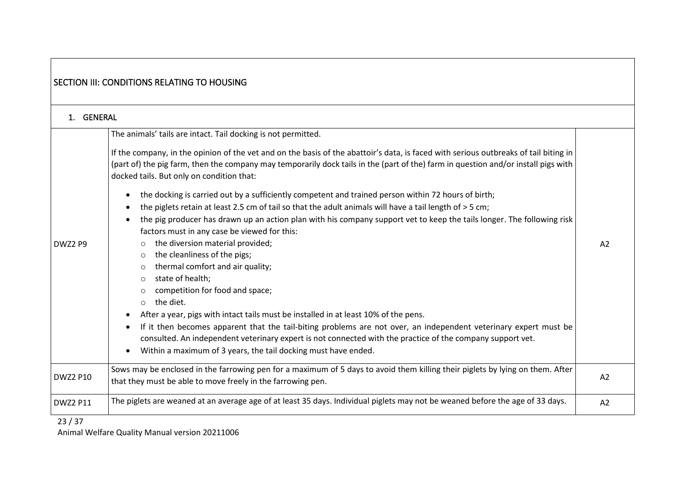<span id="page-22-1"></span><span id="page-22-0"></span>

|                 | <b>SECTION III: CONDITIONS RELATING TO HOUSING</b>                                                                                                                                                                                                                                                                                                                                                                                                                                                                                                                                                                                                                                                                                                                                                                                                                                                                                                                                                                                                                                                                                                                                                                                              |    |
|-----------------|-------------------------------------------------------------------------------------------------------------------------------------------------------------------------------------------------------------------------------------------------------------------------------------------------------------------------------------------------------------------------------------------------------------------------------------------------------------------------------------------------------------------------------------------------------------------------------------------------------------------------------------------------------------------------------------------------------------------------------------------------------------------------------------------------------------------------------------------------------------------------------------------------------------------------------------------------------------------------------------------------------------------------------------------------------------------------------------------------------------------------------------------------------------------------------------------------------------------------------------------------|----|
| 1. GENERAL      |                                                                                                                                                                                                                                                                                                                                                                                                                                                                                                                                                                                                                                                                                                                                                                                                                                                                                                                                                                                                                                                                                                                                                                                                                                                 |    |
| DWZ2 P9         | The animals' tails are intact. Tail docking is not permitted.<br>If the company, in the opinion of the vet and on the basis of the abattoir's data, is faced with serious outbreaks of tail biting in<br>(part of) the pig farm, then the company may temporarily dock tails in the (part of the) farm in question and/or install pigs with<br>docked tails. But only on condition that:<br>the docking is carried out by a sufficiently competent and trained person within 72 hours of birth;<br>the piglets retain at least 2.5 cm of tail so that the adult animals will have a tail length of > 5 cm;<br>the pig producer has drawn up an action plan with his company support vet to keep the tails longer. The following risk<br>$\bullet$<br>factors must in any case be viewed for this:<br>the diversion material provided;<br>$\circ$<br>the cleanliness of the pigs;<br>$\circ$<br>thermal comfort and air quality;<br>$\circ$<br>state of health;<br>$\circ$<br>competition for food and space;<br>the diet.<br>$\circ$<br>After a year, pigs with intact tails must be installed in at least 10% of the pens.<br>If it then becomes apparent that the tail-biting problems are not over, an independent veterinary expert must be | A2 |
|                 | consulted. An independent veterinary expert is not connected with the practice of the company support vet.<br>Within a maximum of 3 years, the tail docking must have ended.<br>Sows may be enclosed in the farrowing pen for a maximum of 5 days to avoid them killing their piglets by lying on them. After                                                                                                                                                                                                                                                                                                                                                                                                                                                                                                                                                                                                                                                                                                                                                                                                                                                                                                                                   |    |
| <b>DWZ2 P10</b> | that they must be able to move freely in the farrowing pen.                                                                                                                                                                                                                                                                                                                                                                                                                                                                                                                                                                                                                                                                                                                                                                                                                                                                                                                                                                                                                                                                                                                                                                                     | A2 |
| <b>DWZ2 P11</b> | The piglets are weaned at an average age of at least 35 days. Individual piglets may not be weaned before the age of 33 days.                                                                                                                                                                                                                                                                                                                                                                                                                                                                                                                                                                                                                                                                                                                                                                                                                                                                                                                                                                                                                                                                                                                   | A2 |
| 23/37           |                                                                                                                                                                                                                                                                                                                                                                                                                                                                                                                                                                                                                                                                                                                                                                                                                                                                                                                                                                                                                                                                                                                                                                                                                                                 |    |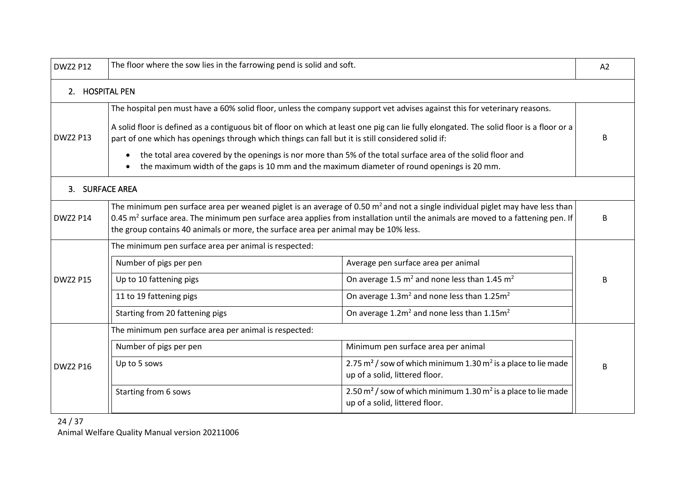<span id="page-23-1"></span><span id="page-23-0"></span>

| <b>DWZ2 P12</b> | The floor where the sow lies in the farrowing pend is solid and soft.                                                                                                                                                                                                                                                                                                                                                                                                                                                                                                                    |                                                                                                       | A2 |
|-----------------|------------------------------------------------------------------------------------------------------------------------------------------------------------------------------------------------------------------------------------------------------------------------------------------------------------------------------------------------------------------------------------------------------------------------------------------------------------------------------------------------------------------------------------------------------------------------------------------|-------------------------------------------------------------------------------------------------------|----|
| 2. HOSPITAL PEN |                                                                                                                                                                                                                                                                                                                                                                                                                                                                                                                                                                                          |                                                                                                       |    |
| <b>DWZ2 P13</b> | The hospital pen must have a 60% solid floor, unless the company support vet advises against this for veterinary reasons.<br>A solid floor is defined as a contiguous bit of floor on which at least one pig can lie fully elongated. The solid floor is a floor or a<br>part of one which has openings through which things can fall but it is still considered solid if:<br>the total area covered by the openings is nor more than 5% of the total surface area of the solid floor and<br>the maximum width of the gaps is 10 mm and the maximum diameter of round openings is 20 mm. |                                                                                                       |    |
| 3. SURFACE AREA |                                                                                                                                                                                                                                                                                                                                                                                                                                                                                                                                                                                          |                                                                                                       |    |
| <b>DWZ2 P14</b> | The minimum pen surface area per weaned piglet is an average of 0.50 $m^2$ and not a single individual piglet may have less than<br>0.45 m <sup>2</sup> surface area. The minimum pen surface area applies from installation until the animals are moved to a fattening pen. If<br>the group contains 40 animals or more, the surface area per animal may be 10% less.                                                                                                                                                                                                                   |                                                                                                       | B  |
|                 | The minimum pen surface area per animal is respected:                                                                                                                                                                                                                                                                                                                                                                                                                                                                                                                                    |                                                                                                       |    |
|                 | Number of pigs per pen                                                                                                                                                                                                                                                                                                                                                                                                                                                                                                                                                                   | Average pen surface area per animal                                                                   |    |
| <b>DWZ2 P15</b> | Up to 10 fattening pigs                                                                                                                                                                                                                                                                                                                                                                                                                                                                                                                                                                  | On average 1.5 $m^2$ and none less than 1.45 $m^2$                                                    | R  |
|                 | 11 to 19 fattening pigs                                                                                                                                                                                                                                                                                                                                                                                                                                                                                                                                                                  | On average 1.3m <sup>2</sup> and none less than 1.25m <sup>2</sup>                                    |    |
|                 | Starting from 20 fattening pigs                                                                                                                                                                                                                                                                                                                                                                                                                                                                                                                                                          | On average $1.2m^2$ and none less than $1.15m^2$                                                      |    |
|                 | The minimum pen surface area per animal is respected:                                                                                                                                                                                                                                                                                                                                                                                                                                                                                                                                    |                                                                                                       |    |
|                 | Number of pigs per pen                                                                                                                                                                                                                                                                                                                                                                                                                                                                                                                                                                   | Minimum pen surface area per animal                                                                   |    |
| <b>DWZ2 P16</b> | Up to 5 sows                                                                                                                                                                                                                                                                                                                                                                                                                                                                                                                                                                             | 2.75 $m^2$ / sow of which minimum 1.30 $m^2$ is a place to lie made<br>up of a solid, littered floor. | R  |
|                 | Starting from 6 sows                                                                                                                                                                                                                                                                                                                                                                                                                                                                                                                                                                     | 2.50 $m^2$ / sow of which minimum 1.30 $m^2$ is a place to lie made<br>up of a solid, littered floor. |    |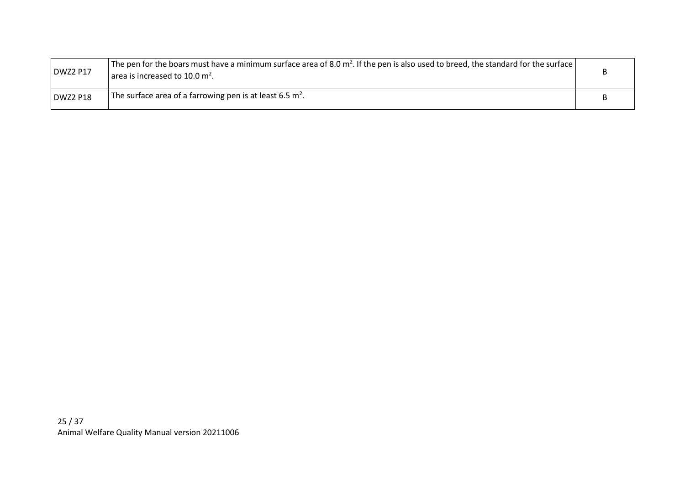| <b>DWZ2 P17</b> | <sup>1</sup> The pen for the boars must have a minimum surface area of 8.0 m <sup>2</sup> . If the pen is also used to breed, the standard for the surface $ $<br>area is increased to 10.0 $m2$ . |  |
|-----------------|----------------------------------------------------------------------------------------------------------------------------------------------------------------------------------------------------|--|
| DWZ2 P18        | The surface area of a farrowing pen is at least 6.5 m <sup>2</sup> .                                                                                                                               |  |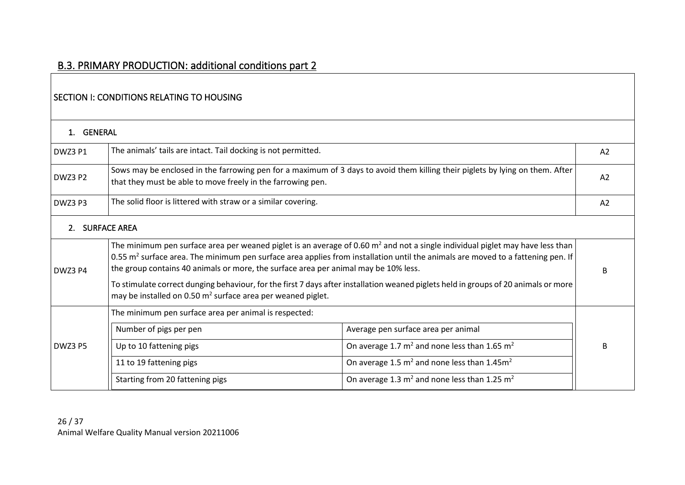#### SECTION I: CONDITIONS RELATING TO HOUSING

<span id="page-25-3"></span><span id="page-25-2"></span><span id="page-25-1"></span><span id="page-25-0"></span>

| 1. GENERAL     |                                                                                                                                                                                                                                                                                                                                                                                                                                                                                                                                                                                         |                                                                                                                               |    |
|----------------|-----------------------------------------------------------------------------------------------------------------------------------------------------------------------------------------------------------------------------------------------------------------------------------------------------------------------------------------------------------------------------------------------------------------------------------------------------------------------------------------------------------------------------------------------------------------------------------------|-------------------------------------------------------------------------------------------------------------------------------|----|
| DWZ3 P1        | The animals' tails are intact. Tail docking is not permitted.                                                                                                                                                                                                                                                                                                                                                                                                                                                                                                                           |                                                                                                                               | A2 |
| DWZ3 P2        | that they must be able to move freely in the farrowing pen.                                                                                                                                                                                                                                                                                                                                                                                                                                                                                                                             | Sows may be enclosed in the farrowing pen for a maximum of 3 days to avoid them killing their piglets by lying on them. After | A2 |
| DWZ3 P3        | The solid floor is littered with straw or a similar covering.                                                                                                                                                                                                                                                                                                                                                                                                                                                                                                                           |                                                                                                                               | A2 |
| 2 <sup>1</sup> | <b>SURFACE AREA</b>                                                                                                                                                                                                                                                                                                                                                                                                                                                                                                                                                                     |                                                                                                                               |    |
| DWZ3 P4        | The minimum pen surface area per weaned piglet is an average of 0.60 $m2$ and not a single individual piglet may have less than<br>0.55 m <sup>2</sup> surface area. The minimum pen surface area applies from installation until the animals are moved to a fattening pen. If<br>the group contains 40 animals or more, the surface area per animal may be 10% less.<br>To stimulate correct dunging behaviour, for the first 7 days after installation weaned piglets held in groups of 20 animals or more<br>may be installed on 0.50 m <sup>2</sup> surface area per weaned piglet. |                                                                                                                               | R  |
|                | The minimum pen surface area per animal is respected:                                                                                                                                                                                                                                                                                                                                                                                                                                                                                                                                   |                                                                                                                               |    |
|                | Number of pigs per pen                                                                                                                                                                                                                                                                                                                                                                                                                                                                                                                                                                  | Average pen surface area per animal                                                                                           |    |
| DWZ3 P5        | Up to 10 fattening pigs                                                                                                                                                                                                                                                                                                                                                                                                                                                                                                                                                                 | On average 1.7 $m^2$ and none less than 1.65 $m^2$                                                                            |    |
|                | 11 to 19 fattening pigs                                                                                                                                                                                                                                                                                                                                                                                                                                                                                                                                                                 | On average 1.5 $m^2$ and none less than 1.45 $m^2$                                                                            |    |
|                | Starting from 20 fattening pigs                                                                                                                                                                                                                                                                                                                                                                                                                                                                                                                                                         | On average 1.3 $m^2$ and none less than 1.25 $m^2$                                                                            |    |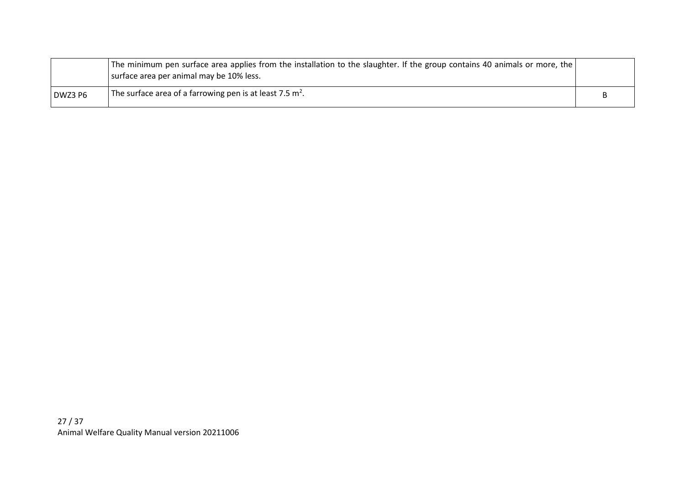|         | The minimum pen surface area applies from the installation to the slaughter. If the group contains 40 animals or more, the<br>surface area per animal may be 10% less. |  |
|---------|------------------------------------------------------------------------------------------------------------------------------------------------------------------------|--|
| DWZ3 P6 | The surface area of a farrowing pen is at least 7.5 $m2$ .                                                                                                             |  |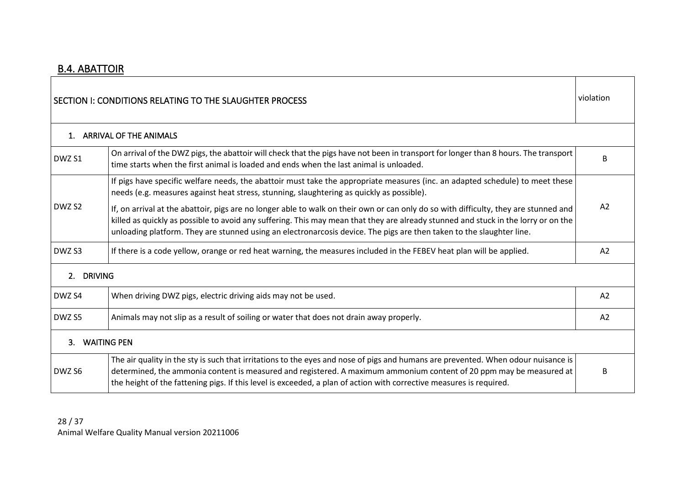**r** 

<span id="page-27-4"></span><span id="page-27-3"></span><span id="page-27-2"></span><span id="page-27-1"></span><span id="page-27-0"></span>

| SECTION I: CONDITIONS RELATING TO THE SLAUGHTER PROCESS |                                                                                                                                                                                                                                                                                                                                                                                                    |                |  |  |
|---------------------------------------------------------|----------------------------------------------------------------------------------------------------------------------------------------------------------------------------------------------------------------------------------------------------------------------------------------------------------------------------------------------------------------------------------------------------|----------------|--|--|
|                                                         | 1. ARRIVAL OF THE ANIMALS                                                                                                                                                                                                                                                                                                                                                                          |                |  |  |
| DWZ S1                                                  | On arrival of the DWZ pigs, the abattoir will check that the pigs have not been in transport for longer than 8 hours. The transport<br>time starts when the first animal is loaded and ends when the last animal is unloaded.                                                                                                                                                                      |                |  |  |
|                                                         | If pigs have specific welfare needs, the abattoir must take the appropriate measures (inc. an adapted schedule) to meet these<br>needs (e.g. measures against heat stress, stunning, slaughtering as quickly as possible).                                                                                                                                                                         |                |  |  |
| DWZ S <sub>2</sub>                                      | If, on arrival at the abattoir, pigs are no longer able to walk on their own or can only do so with difficulty, they are stunned and<br>killed as quickly as possible to avoid any suffering. This may mean that they are already stunned and stuck in the lorry or on the<br>unloading platform. They are stunned using an electronarcosis device. The pigs are then taken to the slaughter line. | A <sub>2</sub> |  |  |
| DWZ S3                                                  | If there is a code yellow, orange or red heat warning, the measures included in the FEBEV heat plan will be applied.                                                                                                                                                                                                                                                                               |                |  |  |
| 2. DRIVING                                              |                                                                                                                                                                                                                                                                                                                                                                                                    |                |  |  |
| DWZ S4                                                  | When driving DWZ pigs, electric driving aids may not be used.                                                                                                                                                                                                                                                                                                                                      | A2             |  |  |
| DWZ S5                                                  | Animals may not slip as a result of soiling or water that does not drain away properly.                                                                                                                                                                                                                                                                                                            |                |  |  |
| 3.                                                      | <b>WAITING PEN</b>                                                                                                                                                                                                                                                                                                                                                                                 |                |  |  |
| DWZ S6                                                  | The air quality in the sty is such that irritations to the eyes and nose of pigs and humans are prevented. When odour nuisance is<br>determined, the ammonia content is measured and registered. A maximum ammonium content of 20 ppm may be measured at<br>the height of the fattening pigs. If this level is exceeded, a plan of action with corrective measures is required.                    | B              |  |  |

 $\top$ 

٦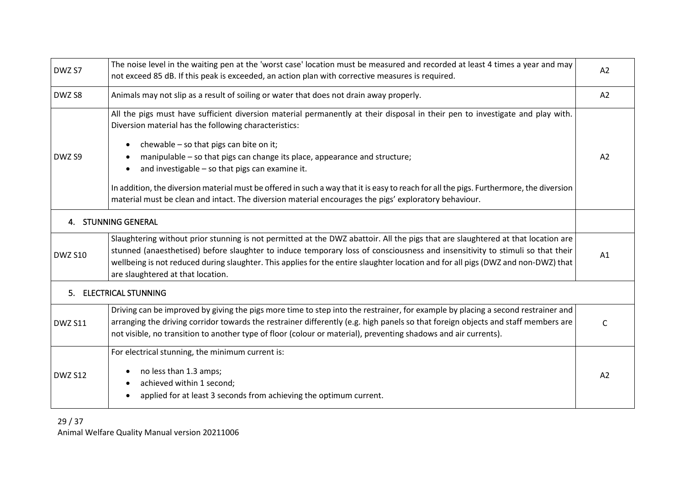<span id="page-28-1"></span><span id="page-28-0"></span>

| DWZ S7                                                                                                                                                                                          | The noise level in the waiting pen at the 'worst case' location must be measured and recorded at least 4 times a year and may<br>not exceed 85 dB. If this peak is exceeded, an action plan with corrective measures is required.                                                                                                                                                                                                           |    |  |  |  |  |
|-------------------------------------------------------------------------------------------------------------------------------------------------------------------------------------------------|---------------------------------------------------------------------------------------------------------------------------------------------------------------------------------------------------------------------------------------------------------------------------------------------------------------------------------------------------------------------------------------------------------------------------------------------|----|--|--|--|--|
| DWZ S8                                                                                                                                                                                          | Animals may not slip as a result of soiling or water that does not drain away properly.                                                                                                                                                                                                                                                                                                                                                     |    |  |  |  |  |
|                                                                                                                                                                                                 | All the pigs must have sufficient diversion material permanently at their disposal in their pen to investigate and play with.<br>Diversion material has the following characteristics:                                                                                                                                                                                                                                                      |    |  |  |  |  |
| DWZ S9                                                                                                                                                                                          | chewable - so that pigs can bite on it;<br>manipulable - so that pigs can change its place, appearance and structure;<br>and investigable - so that pigs can examine it.                                                                                                                                                                                                                                                                    |    |  |  |  |  |
|                                                                                                                                                                                                 | In addition, the diversion material must be offered in such a way that it is easy to reach for all the pigs. Furthermore, the diversion<br>material must be clean and intact. The diversion material encourages the pigs' exploratory behaviour.                                                                                                                                                                                            |    |  |  |  |  |
|                                                                                                                                                                                                 | 4. STUNNING GENERAL                                                                                                                                                                                                                                                                                                                                                                                                                         |    |  |  |  |  |
| <b>DWZ S10</b>                                                                                                                                                                                  | Slaughtering without prior stunning is not permitted at the DWZ abattoir. All the pigs that are slaughtered at that location are<br>stunned (anaesthetised) before slaughter to induce temporary loss of consciousness and insensitivity to stimuli so that their<br>wellbeing is not reduced during slaughter. This applies for the entire slaughter location and for all pigs (DWZ and non-DWZ) that<br>are slaughtered at that location. |    |  |  |  |  |
|                                                                                                                                                                                                 | 5. ELECTRICAL STUNNING                                                                                                                                                                                                                                                                                                                                                                                                                      |    |  |  |  |  |
| <b>DWZ S11</b>                                                                                                                                                                                  | Driving can be improved by giving the pigs more time to step into the restrainer, for example by placing a second restrainer and<br>arranging the driving corridor towards the restrainer differently (e.g. high panels so that foreign objects and staff members are<br>not visible, no transition to another type of floor (colour or material), preventing shadows and air currents).                                                    |    |  |  |  |  |
| For electrical stunning, the minimum current is:<br>no less than 1.3 amps;<br><b>DWZ S12</b><br>achieved within 1 second;<br>applied for at least 3 seconds from achieving the optimum current. |                                                                                                                                                                                                                                                                                                                                                                                                                                             | A2 |  |  |  |  |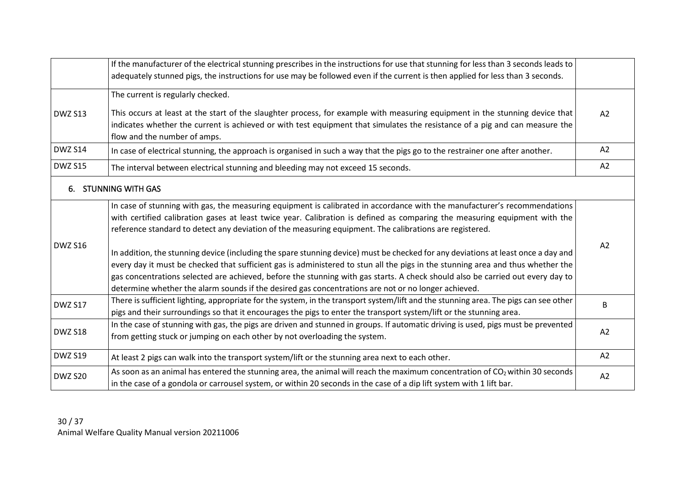<span id="page-29-0"></span>

|                | If the manufacturer of the electrical stunning prescribes in the instructions for use that stunning for less than 3 seconds leads to                                                                                                                                                                                                                                                                                                                                                                          |                |  |  |
|----------------|---------------------------------------------------------------------------------------------------------------------------------------------------------------------------------------------------------------------------------------------------------------------------------------------------------------------------------------------------------------------------------------------------------------------------------------------------------------------------------------------------------------|----------------|--|--|
|                | adequately stunned pigs, the instructions for use may be followed even if the current is then applied for less than 3 seconds.                                                                                                                                                                                                                                                                                                                                                                                |                |  |  |
|                | The current is regularly checked.                                                                                                                                                                                                                                                                                                                                                                                                                                                                             |                |  |  |
| <b>DWZ S13</b> | This occurs at least at the start of the slaughter process, for example with measuring equipment in the stunning device that<br>indicates whether the current is achieved or with test equipment that simulates the resistance of a pig and can measure the<br>flow and the number of amps.                                                                                                                                                                                                                   | A2             |  |  |
| <b>DWZ S14</b> | In case of electrical stunning, the approach is organised in such a way that the pigs go to the restrainer one after another.                                                                                                                                                                                                                                                                                                                                                                                 | A2             |  |  |
| <b>DWZ S15</b> | The interval between electrical stunning and bleeding may not exceed 15 seconds.                                                                                                                                                                                                                                                                                                                                                                                                                              | A2             |  |  |
|                | 6. STUNNING WITH GAS                                                                                                                                                                                                                                                                                                                                                                                                                                                                                          |                |  |  |
|                | In case of stunning with gas, the measuring equipment is calibrated in accordance with the manufacturer's recommendations<br>with certified calibration gases at least twice year. Calibration is defined as comparing the measuring equipment with the<br>reference standard to detect any deviation of the measuring equipment. The calibrations are registered.                                                                                                                                            |                |  |  |
| <b>DWZ S16</b> | In addition, the stunning device (including the spare stunning device) must be checked for any deviations at least once a day and<br>every day it must be checked that sufficient gas is administered to stun all the pigs in the stunning area and thus whether the<br>gas concentrations selected are achieved, before the stunning with gas starts. A check should also be carried out every day to<br>determine whether the alarm sounds if the desired gas concentrations are not or no longer achieved. | A <sub>2</sub> |  |  |
| DWZ S17        | There is sufficient lighting, appropriate for the system, in the transport system/lift and the stunning area. The pigs can see other<br>pigs and their surroundings so that it encourages the pigs to enter the transport system/lift or the stunning area.                                                                                                                                                                                                                                                   |                |  |  |
| DWZ S18        | In the case of stunning with gas, the pigs are driven and stunned in groups. If automatic driving is used, pigs must be prevented<br>from getting stuck or jumping on each other by not overloading the system.                                                                                                                                                                                                                                                                                               |                |  |  |
| <b>DWZ S19</b> | At least 2 pigs can walk into the transport system/lift or the stunning area next to each other.                                                                                                                                                                                                                                                                                                                                                                                                              | A2             |  |  |
| DWZ S20        | As soon as an animal has entered the stunning area, the animal will reach the maximum concentration of CO <sub>2</sub> within 30 seconds<br>A2<br>in the case of a gondola or carrousel system, or within 20 seconds in the case of a dip lift system with 1 lift bar.                                                                                                                                                                                                                                        |                |  |  |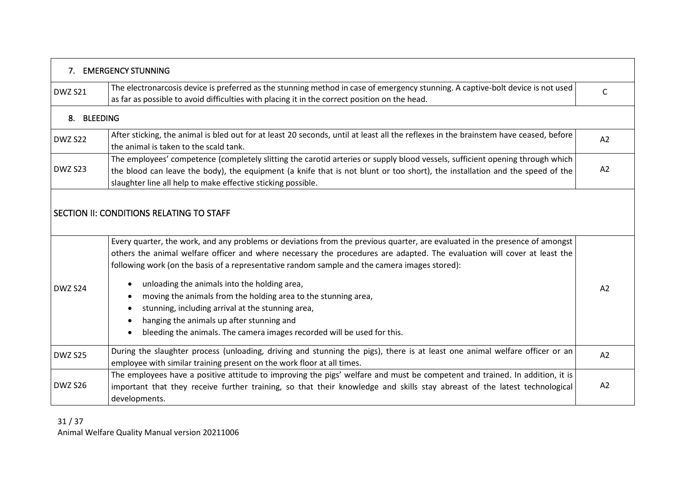<span id="page-30-2"></span><span id="page-30-1"></span><span id="page-30-0"></span>

|             | 7. EMERGENCY STUNNING                                                                                                                                                                                                                                                                                                                                    |    |  |  |  |  |  |  |
|-------------|----------------------------------------------------------------------------------------------------------------------------------------------------------------------------------------------------------------------------------------------------------------------------------------------------------------------------------------------------------|----|--|--|--|--|--|--|
| DWZ S21     | The electronarcosis device is preferred as the stunning method in case of emergency stunning. A captive-bolt device is not used<br>as far as possible to avoid difficulties with placing it in the correct position on the head.                                                                                                                         |    |  |  |  |  |  |  |
| 8. BLEEDING |                                                                                                                                                                                                                                                                                                                                                          |    |  |  |  |  |  |  |
| DWZ S22     | After sticking, the animal is bled out for at least 20 seconds, until at least all the reflexes in the brainstem have ceased, before<br>the animal is taken to the scald tank.                                                                                                                                                                           |    |  |  |  |  |  |  |
| DWZ S23     | The employees' competence (completely slitting the carotid arteries or supply blood vessels, sufficient opening through which<br>the blood can leave the body), the equipment (a knife that is not blunt or too short), the installation and the speed of the<br>slaughter line all help to make effective sticking possible.                            |    |  |  |  |  |  |  |
|             | SECTION II: CONDITIONS RELATING TO STAFF                                                                                                                                                                                                                                                                                                                 |    |  |  |  |  |  |  |
|             | Every quarter, the work, and any problems or deviations from the previous quarter, are evaluated in the presence of amongst<br>others the animal welfare officer and where necessary the procedures are adapted. The evaluation will cover at least the<br>following work (on the basis of a representative random sample and the camera images stored): |    |  |  |  |  |  |  |
| DWZ S24     | unloading the animals into the holding area,<br>moving the animals from the holding area to the stunning area,<br>stunning, including arrival at the stunning area,<br>hanging the animals up after stunning and<br>bleeding the animals. The camera images recorded will be used for this.                                                              | A2 |  |  |  |  |  |  |
| DWZ S25     | During the slaughter process (unloading, driving and stunning the pigs), there is at least one animal welfare officer or an<br>employee with similar training present on the work floor at all times.                                                                                                                                                    |    |  |  |  |  |  |  |
| DWZ S26     | The employees have a positive attitude to improving the pigs' welfare and must be competent and trained. In addition, it is<br>important that they receive further training, so that their knowledge and skills stay abreast of the latest technological<br>developments.                                                                                |    |  |  |  |  |  |  |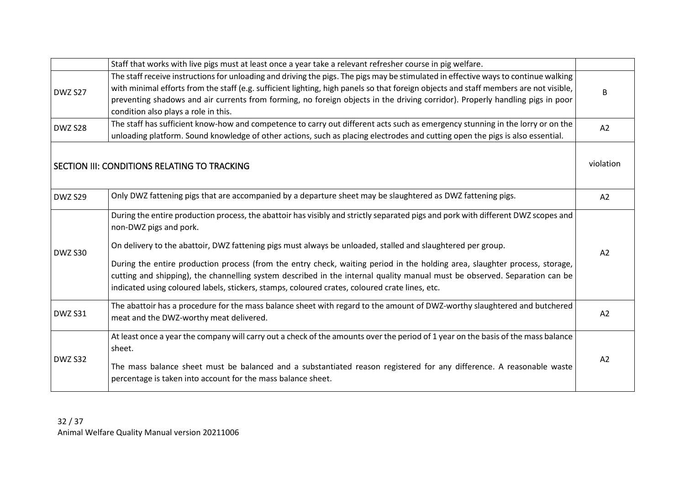<span id="page-31-0"></span>

|         | Staff that works with live pigs must at least once a year take a relevant refresher course in pig welfare.                            |           |  |  |  |
|---------|---------------------------------------------------------------------------------------------------------------------------------------|-----------|--|--|--|
| DWZ S27 | The staff receive instructions for unloading and driving the pigs. The pigs may be stimulated in effective ways to continue walking   |           |  |  |  |
|         | with minimal efforts from the staff (e.g. sufficient lighting, high panels so that foreign objects and staff members are not visible, | B         |  |  |  |
|         | preventing shadows and air currents from forming, no foreign objects in the driving corridor). Properly handling pigs in poor         |           |  |  |  |
|         | condition also plays a role in this.                                                                                                  |           |  |  |  |
| DWZ S28 | The staff has sufficient know-how and competence to carry out different acts such as emergency stunning in the lorry or on the        | A2        |  |  |  |
|         | unloading platform. Sound knowledge of other actions, such as placing electrodes and cutting open the pigs is also essential.         |           |  |  |  |
|         |                                                                                                                                       |           |  |  |  |
|         | SECTION III: CONDITIONS RELATING TO TRACKING                                                                                          | violation |  |  |  |
|         |                                                                                                                                       |           |  |  |  |
|         |                                                                                                                                       |           |  |  |  |
| DWZ S29 | Only DWZ fattening pigs that are accompanied by a departure sheet may be slaughtered as DWZ fattening pigs.                           |           |  |  |  |
|         | During the entire production process, the abattoir has visibly and strictly separated pigs and pork with different DWZ scopes and     |           |  |  |  |
|         | non-DWZ pigs and pork.                                                                                                                |           |  |  |  |
|         | On delivery to the abattoir, DWZ fattening pigs must always be unloaded, stalled and slaughtered per group.                           |           |  |  |  |
| DWZ S30 |                                                                                                                                       | A2        |  |  |  |
|         | During the entire production process (from the entry check, waiting period in the holding area, slaughter process, storage,           |           |  |  |  |
|         | cutting and shipping), the channelling system described in the internal quality manual must be observed. Separation can be            |           |  |  |  |
|         | indicated using coloured labels, stickers, stamps, coloured crates, coloured crate lines, etc.                                        |           |  |  |  |
|         | The abattoir has a procedure for the mass balance sheet with regard to the amount of DWZ-worthy slaughtered and butchered             |           |  |  |  |
| DWZ S31 | meat and the DWZ-worthy meat delivered.                                                                                               | A2        |  |  |  |
|         |                                                                                                                                       |           |  |  |  |
| DWZ S32 | At least once a year the company will carry out a check of the amounts over the period of 1 year on the basis of the mass balance     |           |  |  |  |
|         | sheet.                                                                                                                                | A2        |  |  |  |
|         | The mass balance sheet must be balanced and a substantiated reason registered for any difference. A reasonable waste                  |           |  |  |  |
|         | percentage is taken into account for the mass balance sheet.                                                                          |           |  |  |  |
|         |                                                                                                                                       |           |  |  |  |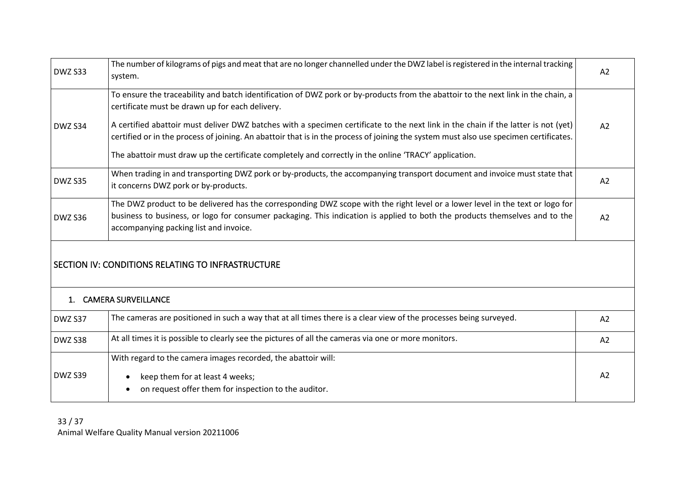<span id="page-32-1"></span><span id="page-32-0"></span>

| DWZ S33 | The number of kilograms of pigs and meat that are no longer channelled under the DWZ label is registered in the internal tracking<br>system.                                                                                                                                                           |    |  |  |  |
|---------|--------------------------------------------------------------------------------------------------------------------------------------------------------------------------------------------------------------------------------------------------------------------------------------------------------|----|--|--|--|
|         | To ensure the traceability and batch identification of DWZ pork or by-products from the abattoir to the next link in the chain, a<br>certificate must be drawn up for each delivery.                                                                                                                   |    |  |  |  |
| DWZ S34 | A certified abattoir must deliver DWZ batches with a specimen certificate to the next link in the chain if the latter is not (yet)<br>certified or in the process of joining. An abattoir that is in the process of joining the system must also use specimen certificates.                            |    |  |  |  |
|         | The abattoir must draw up the certificate completely and correctly in the online 'TRACY' application.                                                                                                                                                                                                  |    |  |  |  |
| DWZ S35 | When trading in and transporting DWZ pork or by-products, the accompanying transport document and invoice must state that<br>it concerns DWZ pork or by-products.                                                                                                                                      |    |  |  |  |
| DWZ S36 | The DWZ product to be delivered has the corresponding DWZ scope with the right level or a lower level in the text or logo for<br>business to business, or logo for consumer packaging. This indication is applied to both the products themselves and to the<br>accompanying packing list and invoice. |    |  |  |  |
|         | SECTION IV: CONDITIONS RELATING TO INFRASTRUCTURE                                                                                                                                                                                                                                                      |    |  |  |  |
|         | 1. CAMERA SURVEILLANCE                                                                                                                                                                                                                                                                                 |    |  |  |  |
| DWZ S37 | The cameras are positioned in such a way that at all times there is a clear view of the processes being surveyed.                                                                                                                                                                                      |    |  |  |  |
| DWZ S38 | At all times it is possible to clearly see the pictures of all the cameras via one or more monitors.                                                                                                                                                                                                   |    |  |  |  |
|         | With regard to the camera images recorded, the abattoir will:                                                                                                                                                                                                                                          |    |  |  |  |
| DWZ S39 | keep them for at least 4 weeks;<br>on request offer them for inspection to the auditor.                                                                                                                                                                                                                | A2 |  |  |  |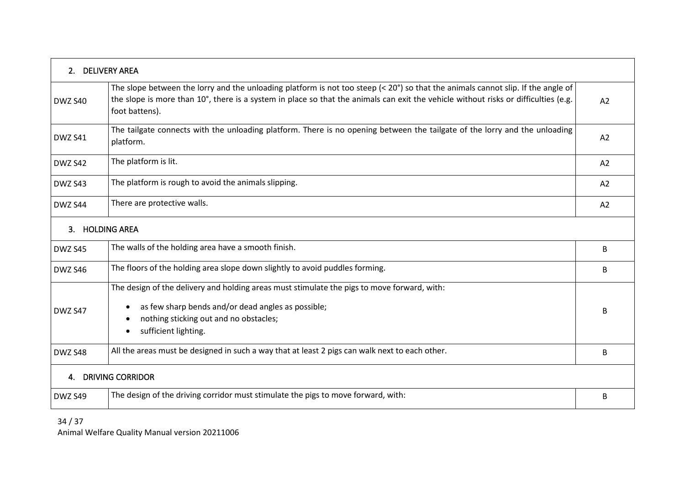<span id="page-33-2"></span><span id="page-33-1"></span><span id="page-33-0"></span>

| 2. DELIVERY AREA |                                                                                                                                                                                                                                                                                                                    |    |  |  |
|------------------|--------------------------------------------------------------------------------------------------------------------------------------------------------------------------------------------------------------------------------------------------------------------------------------------------------------------|----|--|--|
| DWZ S40          | The slope between the lorry and the unloading platform is not too steep $(20^{\circ})$ so that the animals cannot slip. If the angle of<br>the slope is more than 10°, there is a system in place so that the animals can exit the vehicle without risks or difficulties (e.g.<br>A <sub>2</sub><br>foot battens). |    |  |  |
| DWZ S41          | The tailgate connects with the unloading platform. There is no opening between the tailgate of the lorry and the unloading<br>platform.                                                                                                                                                                            |    |  |  |
| DWZ S42          | The platform is lit.                                                                                                                                                                                                                                                                                               | A2 |  |  |
| DWZ S43          | The platform is rough to avoid the animals slipping.                                                                                                                                                                                                                                                               | A2 |  |  |
| DWZ S44          | There are protective walls.                                                                                                                                                                                                                                                                                        |    |  |  |
| $\mathbf{3}$     | <b>HOLDING AREA</b>                                                                                                                                                                                                                                                                                                |    |  |  |
| DWZ S45          | The walls of the holding area have a smooth finish.                                                                                                                                                                                                                                                                |    |  |  |
| DWZ S46          | The floors of the holding area slope down slightly to avoid puddles forming.                                                                                                                                                                                                                                       |    |  |  |
| DWZ S47          | The design of the delivery and holding areas must stimulate the pigs to move forward, with:<br>as few sharp bends and/or dead angles as possible;<br>nothing sticking out and no obstacles;<br>sufficient lighting.                                                                                                |    |  |  |
| DWZ S48          | All the areas must be designed in such a way that at least 2 pigs can walk next to each other.                                                                                                                                                                                                                     |    |  |  |
| 4.               | <b>DRIVING CORRIDOR</b>                                                                                                                                                                                                                                                                                            |    |  |  |
| DWZ S49          | The design of the driving corridor must stimulate the pigs to move forward, with:<br>B                                                                                                                                                                                                                             |    |  |  |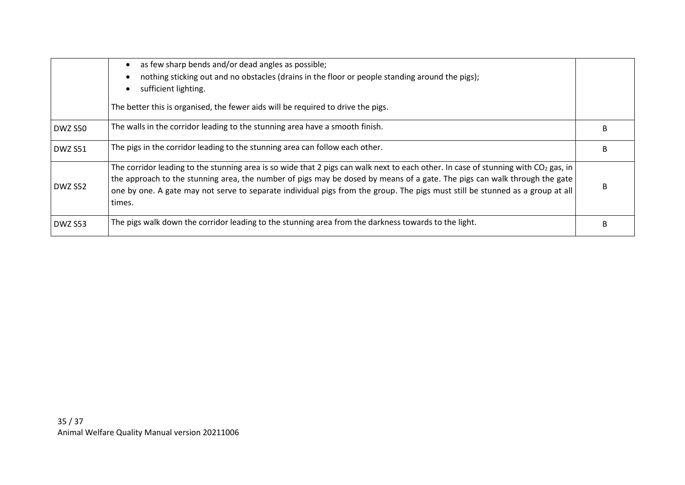|         | as few sharp bends and/or dead angles as possible;<br>nothing sticking out and no obstacles (drains in the floor or people standing around the pigs);<br>sufficient lighting.<br>The better this is organised, the fewer aids will be required to drive the pigs.                                                                                                                                            |  |  |  |  |
|---------|--------------------------------------------------------------------------------------------------------------------------------------------------------------------------------------------------------------------------------------------------------------------------------------------------------------------------------------------------------------------------------------------------------------|--|--|--|--|
| DWZ S50 | The walls in the corridor leading to the stunning area have a smooth finish.                                                                                                                                                                                                                                                                                                                                 |  |  |  |  |
| DWZ S51 | The pigs in the corridor leading to the stunning area can follow each other.                                                                                                                                                                                                                                                                                                                                 |  |  |  |  |
| DWZ S52 | The corridor leading to the stunning area is so wide that 2 pigs can walk next to each other. In case of stunning with $CO2$ gas, in<br>the approach to the stunning area, the number of pigs may be dosed by means of a gate. The pigs can walk through the gate<br>one by one. A gate may not serve to separate individual pigs from the group. The pigs must still be stunned as a group at all<br>times. |  |  |  |  |
| DWZ S53 | The pigs walk down the corridor leading to the stunning area from the darkness towards to the light.                                                                                                                                                                                                                                                                                                         |  |  |  |  |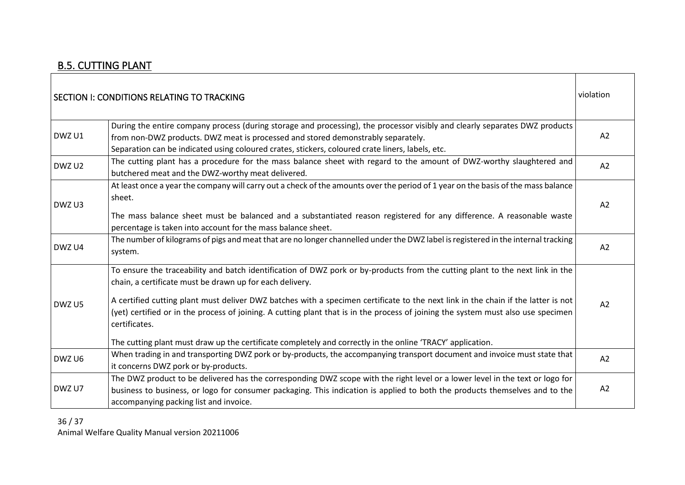### B.5. CUTTING PLANT

<span id="page-35-1"></span><span id="page-35-0"></span>

|        | SECTION I: CONDITIONS RELATING TO TRACKING                                                                                                                                                | violation      |  |
|--------|-------------------------------------------------------------------------------------------------------------------------------------------------------------------------------------------|----------------|--|
|        | During the entire company process (during storage and processing), the processor visibly and clearly separates DWZ products                                                               |                |  |
| DWZ U1 | from non-DWZ products. DWZ meat is processed and stored demonstrably separately.                                                                                                          | A2             |  |
|        | Separation can be indicated using coloured crates, stickers, coloured crate liners, labels, etc.                                                                                          |                |  |
| DWZ U2 | The cutting plant has a procedure for the mass balance sheet with regard to the amount of DWZ-worthy slaughtered and                                                                      | A2             |  |
|        | butchered meat and the DWZ-worthy meat delivered.                                                                                                                                         |                |  |
|        | At least once a year the company will carry out a check of the amounts over the period of 1 year on the basis of the mass balance                                                         |                |  |
|        | sheet.                                                                                                                                                                                    |                |  |
| DWZ U3 |                                                                                                                                                                                           | A <sub>2</sub> |  |
|        | The mass balance sheet must be balanced and a substantiated reason registered for any difference. A reasonable waste                                                                      |                |  |
|        | percentage is taken into account for the mass balance sheet.                                                                                                                              |                |  |
| DWZ U4 | The number of kilograms of pigs and meat that are no longer channelled under the DWZ label is registered in the internal tracking                                                         | A2             |  |
|        | system.                                                                                                                                                                                   |                |  |
|        | To ensure the traceability and batch identification of DWZ pork or by-products from the cutting plant to the next link in the<br>chain, a certificate must be drawn up for each delivery. |                |  |
|        | A certified cutting plant must deliver DWZ batches with a specimen certificate to the next link in the chain if the latter is not                                                         |                |  |
| DWZ U5 | (yet) certified or in the process of joining. A cutting plant that is in the process of joining the system must also use specimen                                                         | A <sub>2</sub> |  |
|        | certificates.                                                                                                                                                                             |                |  |
|        | The cutting plant must draw up the certificate completely and correctly in the online 'TRACY' application.                                                                                |                |  |
| DWZ U6 | When trading in and transporting DWZ pork or by-products, the accompanying transport document and invoice must state that                                                                 | A2             |  |
|        | it concerns DWZ pork or by-products.                                                                                                                                                      |                |  |
|        | The DWZ product to be delivered has the corresponding DWZ scope with the right level or a lower level in the text or logo for                                                             |                |  |
| DWZ U7 | business to business, or logo for consumer packaging. This indication is applied to both the products themselves and to the                                                               | A <sub>2</sub> |  |
|        | accompanying packing list and invoice.                                                                                                                                                    |                |  |